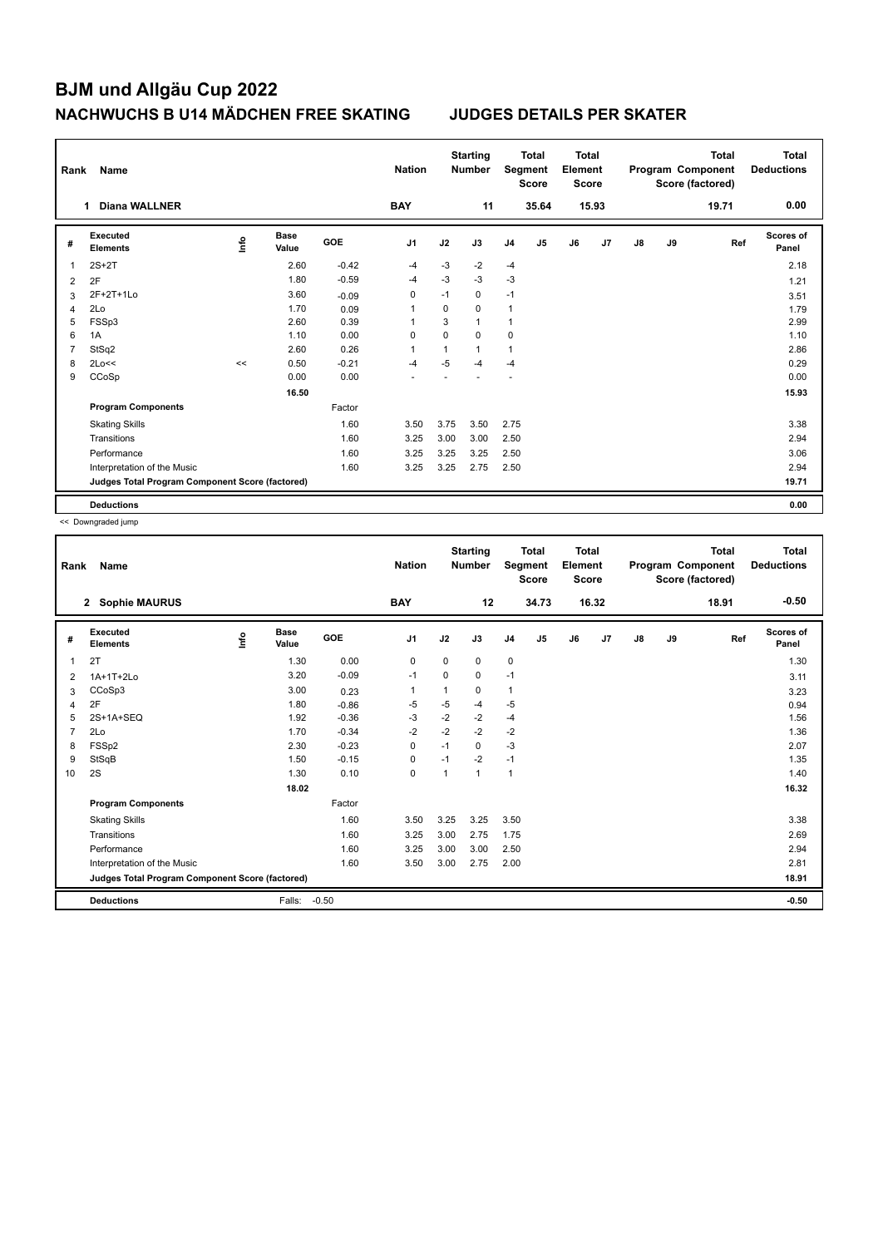| Rank           | Name                                            |      |                      |            | <b>Nation</b>  |      | <b>Starting</b><br><b>Number</b> |                | <b>Total</b><br>Segment<br><b>Score</b> | <b>Total</b><br>Element<br><b>Score</b> |       |               |    | <b>Total</b><br>Program Component<br>Score (factored) | <b>Total</b><br><b>Deductions</b> |
|----------------|-------------------------------------------------|------|----------------------|------------|----------------|------|----------------------------------|----------------|-----------------------------------------|-----------------------------------------|-------|---------------|----|-------------------------------------------------------|-----------------------------------|
|                | <b>Diana WALLNER</b><br>1.                      |      |                      |            | <b>BAY</b>     |      | 11                               |                | 35.64                                   |                                         | 15.93 |               |    | 19.71                                                 | 0.00                              |
| #              | Executed<br><b>Elements</b>                     | ١nfo | <b>Base</b><br>Value | <b>GOE</b> | J <sub>1</sub> | J2   | J3                               | J <sub>4</sub> | J <sub>5</sub>                          | J6                                      | J7    | $\mathsf{J}8$ | J9 | Ref                                                   | Scores of<br>Panel                |
| 1              | $2S+2T$                                         |      | 2.60                 | $-0.42$    | $-4$           | $-3$ | -2                               | $-4$           |                                         |                                         |       |               |    |                                                       | 2.18                              |
| $\overline{2}$ | 2F                                              |      | 1.80                 | $-0.59$    | $-4$           | $-3$ | $-3$                             | $-3$           |                                         |                                         |       |               |    |                                                       | 1.21                              |
| 3              | 2F+2T+1Lo                                       |      | 3.60                 | $-0.09$    | 0              | $-1$ | $\mathbf 0$                      | $-1$           |                                         |                                         |       |               |    |                                                       | 3.51                              |
| 4              | 2Lo                                             |      | 1.70                 | 0.09       | 1              | 0    | $\mathbf 0$                      | $\mathbf{1}$   |                                         |                                         |       |               |    |                                                       | 1.79                              |
| 5              | FSSp3                                           |      | 2.60                 | 0.39       | 1              | 3    | $\mathbf{1}$                     | 1              |                                         |                                         |       |               |    |                                                       | 2.99                              |
| 6              | 1A                                              |      | 1.10                 | 0.00       | 0              | 0    | 0                                | 0              |                                         |                                         |       |               |    |                                                       | 1.10                              |
| 7              | StSq2                                           |      | 2.60                 | 0.26       | 1              | 1    | $\mathbf{1}$                     | $\overline{1}$ |                                         |                                         |       |               |    |                                                       | 2.86                              |
| 8              | 2Lo<<                                           | <<   | 0.50                 | $-0.21$    | $-4$           | $-5$ | -4                               | $-4$           |                                         |                                         |       |               |    |                                                       | 0.29                              |
| 9              | CCoSp                                           |      | 0.00                 | 0.00       |                |      |                                  |                |                                         |                                         |       |               |    |                                                       | 0.00                              |
|                |                                                 |      | 16.50                |            |                |      |                                  |                |                                         |                                         |       |               |    |                                                       | 15.93                             |
|                | <b>Program Components</b>                       |      |                      | Factor     |                |      |                                  |                |                                         |                                         |       |               |    |                                                       |                                   |
|                | <b>Skating Skills</b>                           |      |                      | 1.60       | 3.50           | 3.75 | 3.50                             | 2.75           |                                         |                                         |       |               |    |                                                       | 3.38                              |
|                | Transitions                                     |      |                      | 1.60       | 3.25           | 3.00 | 3.00                             | 2.50           |                                         |                                         |       |               |    |                                                       | 2.94                              |
|                | Performance                                     |      |                      | 1.60       | 3.25           | 3.25 | 3.25                             | 2.50           |                                         |                                         |       |               |    |                                                       | 3.06                              |
|                | Interpretation of the Music                     |      |                      | 1.60       | 3.25           | 3.25 | 2.75                             | 2.50           |                                         |                                         |       |               |    |                                                       | 2.94                              |
|                | Judges Total Program Component Score (factored) |      |                      |            |                |      |                                  |                |                                         |                                         |       |               |    |                                                       | 19.71                             |
|                | <b>Deductions</b>                               |      |                      |            |                |      |                                  |                |                                         |                                         |       |               |    |                                                       | 0.00                              |

<< Downgraded jump

| Rank           | Name                                            |      |                      |         | <b>Nation</b>  |      | <b>Starting</b><br><b>Number</b> |                | <b>Total</b><br>Segment<br><b>Score</b> | <b>Total</b><br>Element<br><b>Score</b> |       |               |    | <b>Total</b><br>Program Component<br>Score (factored) | <b>Total</b><br><b>Deductions</b> |
|----------------|-------------------------------------------------|------|----------------------|---------|----------------|------|----------------------------------|----------------|-----------------------------------------|-----------------------------------------|-------|---------------|----|-------------------------------------------------------|-----------------------------------|
|                | <b>Sophie MAURUS</b><br>$\mathbf{2}$            |      |                      |         | <b>BAY</b>     |      | 12                               |                | 34.73                                   |                                         | 16.32 |               |    | 18.91                                                 | $-0.50$                           |
| #              | Executed<br><b>Elements</b>                     | lnfo | <b>Base</b><br>Value | GOE     | J <sub>1</sub> | J2   | J3                               | J <sub>4</sub> | J5                                      | J6                                      | J7    | $\mathsf{J}8$ | J9 | Ref                                                   | <b>Scores of</b><br>Panel         |
| 1              | 2T                                              |      | 1.30                 | 0.00    | 0              | 0    | 0                                | $\pmb{0}$      |                                         |                                         |       |               |    |                                                       | 1.30                              |
| 2              | 1A+1T+2Lo                                       |      | 3.20                 | $-0.09$ | -1             | 0    | 0                                | $-1$           |                                         |                                         |       |               |    |                                                       | 3.11                              |
| 3              | CCoSp3                                          |      | 3.00                 | 0.23    | $\mathbf 1$    | 1    | $\Omega$                         | $\mathbf{1}$   |                                         |                                         |       |               |    |                                                       | 3.23                              |
| 4              | 2F                                              |      | 1.80                 | $-0.86$ | -5             | -5   | $-4$                             | $-5$           |                                         |                                         |       |               |    |                                                       | 0.94                              |
| 5              | 2S+1A+SEQ                                       |      | 1.92                 | $-0.36$ | $-3$           | $-2$ | $-2$                             | $-4$           |                                         |                                         |       |               |    |                                                       | 1.56                              |
| $\overline{7}$ | 2Lo                                             |      | 1.70                 | $-0.34$ | $-2$           | $-2$ | $-2$                             | $-2$           |                                         |                                         |       |               |    |                                                       | 1.36                              |
| 8              | FSSp2                                           |      | 2.30                 | $-0.23$ | 0              | $-1$ | 0                                | $-3$           |                                         |                                         |       |               |    |                                                       | 2.07                              |
| 9              | StSqB                                           |      | 1.50                 | $-0.15$ | $\mathbf 0$    | $-1$ | $-2$                             | $-1$           |                                         |                                         |       |               |    |                                                       | 1.35                              |
| 10             | 2S                                              |      | 1.30                 | 0.10    | $\mathbf 0$    | 1    | 1                                | $\mathbf{1}$   |                                         |                                         |       |               |    |                                                       | 1.40                              |
|                |                                                 |      | 18.02                |         |                |      |                                  |                |                                         |                                         |       |               |    |                                                       | 16.32                             |
|                | <b>Program Components</b>                       |      |                      | Factor  |                |      |                                  |                |                                         |                                         |       |               |    |                                                       |                                   |
|                | <b>Skating Skills</b>                           |      |                      | 1.60    | 3.50           | 3.25 | 3.25                             | 3.50           |                                         |                                         |       |               |    |                                                       | 3.38                              |
|                | Transitions                                     |      |                      | 1.60    | 3.25           | 3.00 | 2.75                             | 1.75           |                                         |                                         |       |               |    |                                                       | 2.69                              |
|                | Performance                                     |      |                      | 1.60    | 3.25           | 3.00 | 3.00                             | 2.50           |                                         |                                         |       |               |    |                                                       | 2.94                              |
|                | Interpretation of the Music                     |      |                      | 1.60    | 3.50           | 3.00 | 2.75                             | 2.00           |                                         |                                         |       |               |    |                                                       | 2.81                              |
|                | Judges Total Program Component Score (factored) |      |                      |         |                |      |                                  |                |                                         |                                         |       |               |    |                                                       | 18.91                             |
|                | <b>Deductions</b>                               |      | Falls:               | $-0.50$ |                |      |                                  |                |                                         |                                         |       |               |    |                                                       | $-0.50$                           |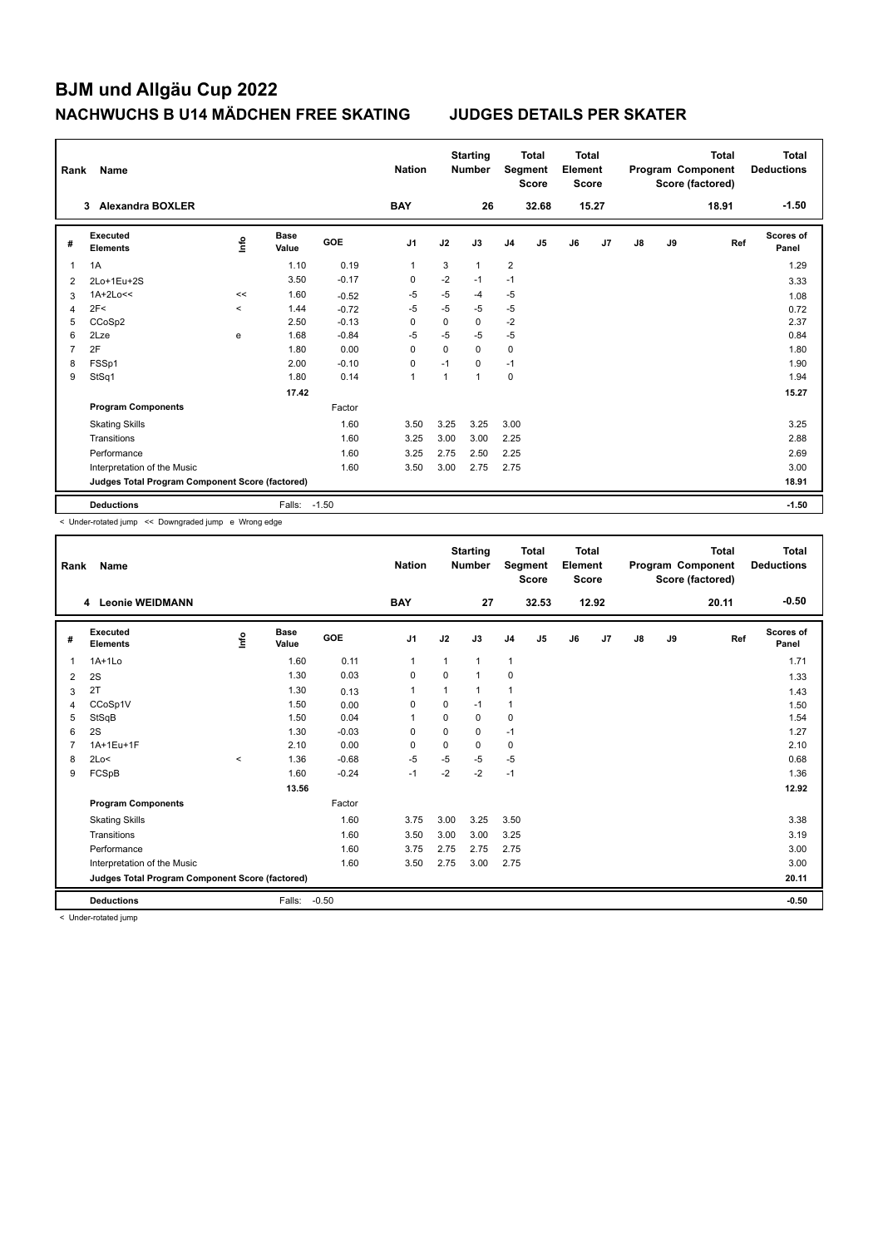| Rank | Name                                            |                          |                      |            | <b>Nation</b>  |          | <b>Starting</b><br><b>Number</b> | Segment        | <b>Total</b><br><b>Score</b> | <b>Total</b><br>Element<br><b>Score</b> |       |    |    | <b>Total</b><br>Program Component<br>Score (factored) | Total<br><b>Deductions</b> |
|------|-------------------------------------------------|--------------------------|----------------------|------------|----------------|----------|----------------------------------|----------------|------------------------------|-----------------------------------------|-------|----|----|-------------------------------------------------------|----------------------------|
|      | <b>Alexandra BOXLER</b><br>3                    |                          |                      |            | <b>BAY</b>     |          | 26                               |                | 32.68                        |                                         | 15.27 |    |    | 18.91                                                 | $-1.50$                    |
| #    | Executed<br><b>Elements</b>                     | lnfo                     | <b>Base</b><br>Value | <b>GOE</b> | J <sub>1</sub> | J2       | J3                               | J <sub>4</sub> | J <sub>5</sub>               | J6                                      | J7    | J8 | J9 | Ref                                                   | <b>Scores of</b><br>Panel  |
| 1    | 1A                                              |                          | 1.10                 | 0.19       | $\mathbf{1}$   | 3        | $\mathbf{1}$                     | $\overline{2}$ |                              |                                         |       |    |    |                                                       | 1.29                       |
| 2    | 2Lo+1Eu+2S                                      |                          | 3.50                 | $-0.17$    | 0              | $-2$     | $-1$                             | $-1$           |                              |                                         |       |    |    |                                                       | 3.33                       |
| 3    | $1A+2Lo<<$                                      | <<                       | 1.60                 | $-0.52$    | -5             | $-5$     | -4                               | $-5$           |                              |                                         |       |    |    |                                                       | 1.08                       |
| 4    | 2F<                                             | $\overline{\phantom{0}}$ | 1.44                 | $-0.72$    | $-5$           | $-5$     | $-5$                             | $-5$           |                              |                                         |       |    |    |                                                       | 0.72                       |
| 5    | CCoSp2                                          |                          | 2.50                 | $-0.13$    | $\Omega$       | $\Omega$ | 0                                | $-2$           |                              |                                         |       |    |    |                                                       | 2.37                       |
| 6    | 2Lze                                            | e                        | 1.68                 | $-0.84$    | $-5$           | $-5$     | $-5$                             | $-5$           |                              |                                         |       |    |    |                                                       | 0.84                       |
| 7    | 2F                                              |                          | 1.80                 | 0.00       | $\Omega$       | $\Omega$ | $\Omega$                         | 0              |                              |                                         |       |    |    |                                                       | 1.80                       |
| 8    | FSSp1                                           |                          | 2.00                 | $-0.10$    | 0              | $-1$     | $\Omega$                         | $-1$           |                              |                                         |       |    |    |                                                       | 1.90                       |
| 9    | StSq1                                           |                          | 1.80                 | 0.14       | $\overline{1}$ | 1        | $\overline{ }$                   | 0              |                              |                                         |       |    |    |                                                       | 1.94                       |
|      |                                                 |                          | 17.42                |            |                |          |                                  |                |                              |                                         |       |    |    |                                                       | 15.27                      |
|      | <b>Program Components</b>                       |                          |                      | Factor     |                |          |                                  |                |                              |                                         |       |    |    |                                                       |                            |
|      | <b>Skating Skills</b>                           |                          |                      | 1.60       | 3.50           | 3.25     | 3.25                             | 3.00           |                              |                                         |       |    |    |                                                       | 3.25                       |
|      | Transitions                                     |                          |                      | 1.60       | 3.25           | 3.00     | 3.00                             | 2.25           |                              |                                         |       |    |    |                                                       | 2.88                       |
|      | Performance                                     |                          |                      | 1.60       | 3.25           | 2.75     | 2.50                             | 2.25           |                              |                                         |       |    |    |                                                       | 2.69                       |
|      | Interpretation of the Music                     |                          |                      | 1.60       | 3.50           | 3.00     | 2.75                             | 2.75           |                              |                                         |       |    |    |                                                       | 3.00                       |
|      | Judges Total Program Component Score (factored) |                          |                      |            |                |          |                                  |                |                              |                                         |       |    |    |                                                       | 18.91                      |
|      | <b>Deductions</b>                               |                          | Falls:               | $-1.50$    |                |          |                                  |                |                              |                                         |       |    |    |                                                       | $-1.50$                    |

< Under-rotated jump << Downgraded jump e Wrong edge

| Rank | <b>Name</b>                                     |         |                      |         | <b>Nation</b>  |          | <b>Starting</b><br><b>Number</b> | Segment        | <b>Total</b><br><b>Score</b> | <b>Total</b><br>Element<br><b>Score</b> |       |               |    | <b>Total</b><br>Program Component<br>Score (factored) | <b>Total</b><br><b>Deductions</b> |
|------|-------------------------------------------------|---------|----------------------|---------|----------------|----------|----------------------------------|----------------|------------------------------|-----------------------------------------|-------|---------------|----|-------------------------------------------------------|-----------------------------------|
|      | 4 Leonie WEIDMANN                               |         |                      |         | <b>BAY</b>     |          | 27                               |                | 32.53                        |                                         | 12.92 |               |    | 20.11                                                 | $-0.50$                           |
| #    | Executed<br><b>Elements</b>                     | Linfo   | <b>Base</b><br>Value | GOE     | J <sub>1</sub> | J2       | J3                               | J <sub>4</sub> | J5                           | J6                                      | J7    | $\mathsf{J}8$ | J9 | Ref                                                   | Scores of<br>Panel                |
| 1    | $1A+1Lo$                                        |         | 1.60                 | 0.11    | $\mathbf{1}$   | 1        | 1                                | $\mathbf{1}$   |                              |                                         |       |               |    |                                                       | 1.71                              |
| 2    | 2S                                              |         | 1.30                 | 0.03    | 0              | $\Omega$ | $\overline{1}$                   | 0              |                              |                                         |       |               |    |                                                       | 1.33                              |
| 3    | 2T                                              |         | 1.30                 | 0.13    | $\mathbf{1}$   | 1        | 1                                | $\overline{1}$ |                              |                                         |       |               |    |                                                       | 1.43                              |
| 4    | CCoSp1V                                         |         | 1.50                 | 0.00    | 0              | 0        | $-1$                             | $\overline{1}$ |                              |                                         |       |               |    |                                                       | 1.50                              |
| 5    | StSqB                                           |         | 1.50                 | 0.04    | $\mathbf{1}$   | 0        | $\mathbf 0$                      | $\pmb{0}$      |                              |                                         |       |               |    |                                                       | 1.54                              |
| 6    | 2S                                              |         | 1.30                 | $-0.03$ | $\Omega$       | $\Omega$ | 0                                | $-1$           |                              |                                         |       |               |    |                                                       | 1.27                              |
| 7    | 1A+1Eu+1F                                       |         | 2.10                 | 0.00    | $\Omega$       | 0        | 0                                | 0              |                              |                                         |       |               |    |                                                       | 2.10                              |
| 8    | 2Lo<                                            | $\,<\,$ | 1.36                 | $-0.68$ | $-5$           | $-5$     | $-5$                             | $-5$           |                              |                                         |       |               |    |                                                       | 0.68                              |
| 9    | FCSpB                                           |         | 1.60                 | $-0.24$ | $-1$           | $-2$     | $-2$                             | $-1$           |                              |                                         |       |               |    |                                                       | 1.36                              |
|      |                                                 |         | 13.56                |         |                |          |                                  |                |                              |                                         |       |               |    |                                                       | 12.92                             |
|      | <b>Program Components</b>                       |         |                      | Factor  |                |          |                                  |                |                              |                                         |       |               |    |                                                       |                                   |
|      | <b>Skating Skills</b>                           |         |                      | 1.60    | 3.75           | 3.00     | 3.25                             | 3.50           |                              |                                         |       |               |    |                                                       | 3.38                              |
|      | Transitions                                     |         |                      | 1.60    | 3.50           | 3.00     | 3.00                             | 3.25           |                              |                                         |       |               |    |                                                       | 3.19                              |
|      | Performance                                     |         |                      | 1.60    | 3.75           | 2.75     | 2.75                             | 2.75           |                              |                                         |       |               |    |                                                       | 3.00                              |
|      | Interpretation of the Music                     |         |                      | 1.60    | 3.50           | 2.75     | 3.00                             | 2.75           |                              |                                         |       |               |    |                                                       | 3.00                              |
|      | Judges Total Program Component Score (factored) |         |                      |         |                |          |                                  |                |                              |                                         |       |               |    |                                                       | 20.11                             |
|      | <b>Deductions</b>                               |         | Falls:               | $-0.50$ |                |          |                                  |                |                              |                                         |       |               |    |                                                       | $-0.50$                           |

< Under-rotated jump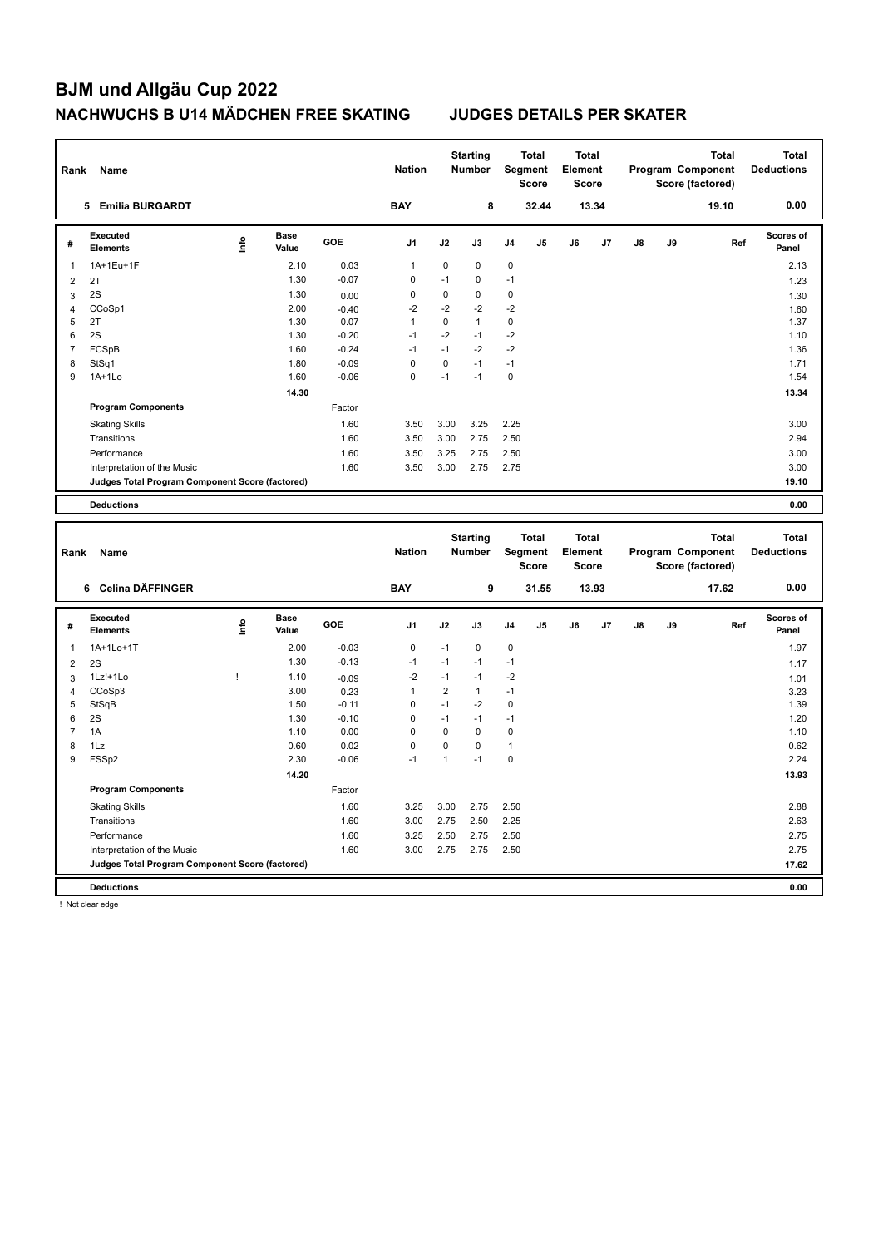| Rank                | Name                                                                 |              |                      |                 | <b>Nation</b>     |                        | <b>Starting</b><br><b>Number</b> |                     | <b>Total</b><br>Segment<br><b>Score</b> | <b>Total</b><br>Element<br><b>Score</b> |       |    |    | Program Component<br>Score (factored) | <b>Total</b> | <b>Total</b><br><b>Deductions</b> |
|---------------------|----------------------------------------------------------------------|--------------|----------------------|-----------------|-------------------|------------------------|----------------------------------|---------------------|-----------------------------------------|-----------------------------------------|-------|----|----|---------------------------------------|--------------|-----------------------------------|
|                     | 5 Emilia BURGARDT                                                    |              |                      |                 | <b>BAY</b>        |                        | 8                                |                     | 32.44                                   |                                         | 13.34 |    |    |                                       | 19.10        | 0.00                              |
| #                   | Executed<br><b>Elements</b>                                          | ۴ů           | <b>Base</b><br>Value | GOE             | J <sub>1</sub>    | J2                     | J3                               | J4                  | J5                                      | J6                                      | J7    | J8 | J9 |                                       | Ref          | <b>Scores of</b><br>Panel         |
| $\mathbf{1}$        | 1A+1Eu+1F                                                            |              | 2.10                 | 0.03            | $\mathbf{1}$      | $\mathbf 0$            | $\mathbf 0$                      | $\mathbf 0$         |                                         |                                         |       |    |    |                                       |              | 2.13                              |
| $\mathbf 2$         | 2T                                                                   |              | 1.30                 | $-0.07$         | $\pmb{0}$         | $-1$                   | $\mathbf 0$                      | $-1$                |                                         |                                         |       |    |    |                                       |              | 1.23                              |
| 3                   | 2S                                                                   |              | 1.30                 | 0.00            | 0                 | $\pmb{0}$              | 0                                | 0                   |                                         |                                         |       |    |    |                                       |              | 1.30                              |
| 4                   | CCoSp1                                                               |              | 2.00                 | $-0.40$         | $-2$              | $-2$                   | $-2$                             | $-2$                |                                         |                                         |       |    |    |                                       |              | 1.60                              |
| 5                   | 2T                                                                   |              | 1.30                 | 0.07            | $\mathbf{1}$      | 0                      | $\mathbf{1}$                     | 0                   |                                         |                                         |       |    |    |                                       |              | 1.37                              |
| 6                   | 2S                                                                   |              | 1.30                 | $-0.20$         | $-1$              | $-2$                   | $-1$                             | $-2$                |                                         |                                         |       |    |    |                                       |              | 1.10                              |
| $\overline{7}$      | FCSpB                                                                |              | 1.60                 | $-0.24$         | $-1$              | $-1$                   | $-2$                             | $-2$                |                                         |                                         |       |    |    |                                       |              | 1.36                              |
| 8                   | StSq1                                                                |              | 1.80                 | $-0.09$         | $\pmb{0}$         | 0                      | $-1$                             | $-1$                |                                         |                                         |       |    |    |                                       |              | 1.71                              |
| 9                   | $1A+1Lo$                                                             |              | 1.60                 | $-0.06$         | 0                 | $-1$                   | $-1$                             | $\mathbf 0$         |                                         |                                         |       |    |    |                                       |              | 1.54                              |
|                     |                                                                      |              | 14.30                |                 |                   |                        |                                  |                     |                                         |                                         |       |    |    |                                       |              | 13.34                             |
|                     | <b>Program Components</b>                                            |              |                      | Factor          |                   |                        |                                  |                     |                                         |                                         |       |    |    |                                       |              |                                   |
|                     | <b>Skating Skills</b>                                                |              |                      | 1.60            | 3.50              | 3.00                   | 3.25                             | 2.25                |                                         |                                         |       |    |    |                                       |              | 3.00                              |
|                     | Transitions                                                          |              |                      | 1.60            | 3.50              | 3.00                   | 2.75                             | 2.50                |                                         |                                         |       |    |    |                                       |              | 2.94                              |
|                     | Performance                                                          |              |                      | 1.60            | 3.50              | 3.25                   | 2.75                             | 2.50                |                                         |                                         |       |    |    |                                       |              | 3.00                              |
|                     | Interpretation of the Music                                          |              |                      | 1.60            | 3.50              | 3.00                   | 2.75                             | 2.75                |                                         |                                         |       |    |    |                                       |              | 3.00                              |
|                     | Judges Total Program Component Score (factored)                      |              |                      |                 |                   |                        |                                  |                     |                                         |                                         |       |    |    |                                       |              | 19.10                             |
|                     |                                                                      |              |                      |                 |                   |                        |                                  |                     |                                         |                                         |       |    |    |                                       |              |                                   |
|                     | <b>Deductions</b>                                                    |              |                      |                 |                   |                        |                                  |                     |                                         |                                         |       |    |    |                                       |              | 0.00                              |
|                     |                                                                      |              |                      |                 |                   |                        |                                  |                     |                                         |                                         |       |    |    |                                       |              |                                   |
| Rank                | Name                                                                 |              |                      |                 | <b>Nation</b>     |                        | <b>Starting</b><br>Number        |                     | <b>Total</b><br>Segment<br><b>Score</b> | <b>Total</b><br>Element<br><b>Score</b> |       |    |    | Program Component<br>Score (factored) | <b>Total</b> | <b>Total</b><br><b>Deductions</b> |
|                     | 6 Celina DÄFFINGER                                                   |              |                      |                 | <b>BAY</b>        |                        | 9                                |                     | 31.55                                   |                                         | 13.93 |    |    |                                       | 17.62        | 0.00                              |
| #                   | <b>Executed</b><br><b>Elements</b>                                   | ۴            | <b>Base</b><br>Value | GOE             | J1                | J2                     | J3                               | J4                  | J5                                      | J6                                      | J7    | J8 | J9 |                                       | Ref          | <b>Scores of</b><br>Panel         |
| 1                   | 1A+1Lo+1T                                                            |              | 2.00                 | $-0.03$         | $\pmb{0}$         | $-1$                   | $\mathbf 0$                      | $\mathbf 0$         |                                         |                                         |       |    |    |                                       |              | 1.97                              |
|                     |                                                                      |              | 1.30                 | $-0.13$         | $-1$              | $-1$                   | $-1$                             | $-1$                |                                         |                                         |       |    |    |                                       |              |                                   |
| $\mathbf 2$         | 2S                                                                   | $\mathbf{I}$ |                      |                 | $-2$              | $-1$                   | $-1$                             | $-2$                |                                         |                                         |       |    |    |                                       |              | 1.17                              |
| 3                   | 1Lz!+1Lo                                                             |              | 1.10                 | $-0.09$         |                   |                        |                                  |                     |                                         |                                         |       |    |    |                                       |              | 1.01                              |
| $\overline{4}$<br>5 | CCoSp3                                                               |              | 3.00<br>1.50         | 0.23<br>$-0.11$ | $\mathbf{1}$<br>0 | $\overline{2}$<br>$-1$ | $\mathbf{1}$<br>$-2$             | $-1$<br>$\mathbf 0$ |                                         |                                         |       |    |    |                                       |              | 3.23<br>1.39                      |
| 6                   | StSqB<br>2S                                                          |              | 1.30                 | $-0.10$         | 0                 | $-1$                   | $-1$                             | $-1$                |                                         |                                         |       |    |    |                                       |              | 1.20                              |
| $\overline{7}$      | 1A                                                                   |              | 1.10                 | 0.00            | 0                 | 0                      | $\mathbf 0$                      | 0                   |                                         |                                         |       |    |    |                                       |              | 1.10                              |
| 8                   | 1Lz                                                                  |              | 0.60                 | 0.02            | $\mathbf 0$       | $\pmb{0}$              | $\mathbf 0$                      | 1                   |                                         |                                         |       |    |    |                                       |              | 0.62                              |
| 9                   | FSSp2                                                                |              | 2.30                 | $-0.06$         | $-1$              | $\mathbf{1}$           | $-1$                             | $\mathbf 0$         |                                         |                                         |       |    |    |                                       |              | 2.24                              |
|                     |                                                                      |              | 14.20                |                 |                   |                        |                                  |                     |                                         |                                         |       |    |    |                                       |              | 13.93                             |
|                     | <b>Program Components</b>                                            |              |                      | Factor          |                   |                        |                                  |                     |                                         |                                         |       |    |    |                                       |              |                                   |
|                     |                                                                      |              |                      |                 |                   |                        |                                  |                     |                                         |                                         |       |    |    |                                       |              |                                   |
|                     | <b>Skating Skills</b>                                                |              |                      | 1.60            | 3.25              | 3.00                   | 2.75                             | 2.50                |                                         |                                         |       |    |    |                                       |              | 2.88                              |
|                     | Transitions                                                          |              |                      | 1.60            | 3.00              | 2.75                   | 2.50                             | 2.25                |                                         |                                         |       |    |    |                                       |              | 2.63                              |
|                     | Performance                                                          |              |                      | 1.60            | 3.25              | 2.50                   | 2.75                             | 2.50                |                                         |                                         |       |    |    |                                       |              | 2.75                              |
|                     | Interpretation of the Music                                          |              |                      | 1.60            | 3.00              | 2.75                   | 2.75                             | 2.50                |                                         |                                         |       |    |    |                                       |              | 2.75                              |
|                     | Judges Total Program Component Score (factored)<br><b>Deductions</b> |              |                      |                 |                   |                        |                                  |                     |                                         |                                         |       |    |    |                                       |              | 17.62<br>0.00                     |

! Not clear edge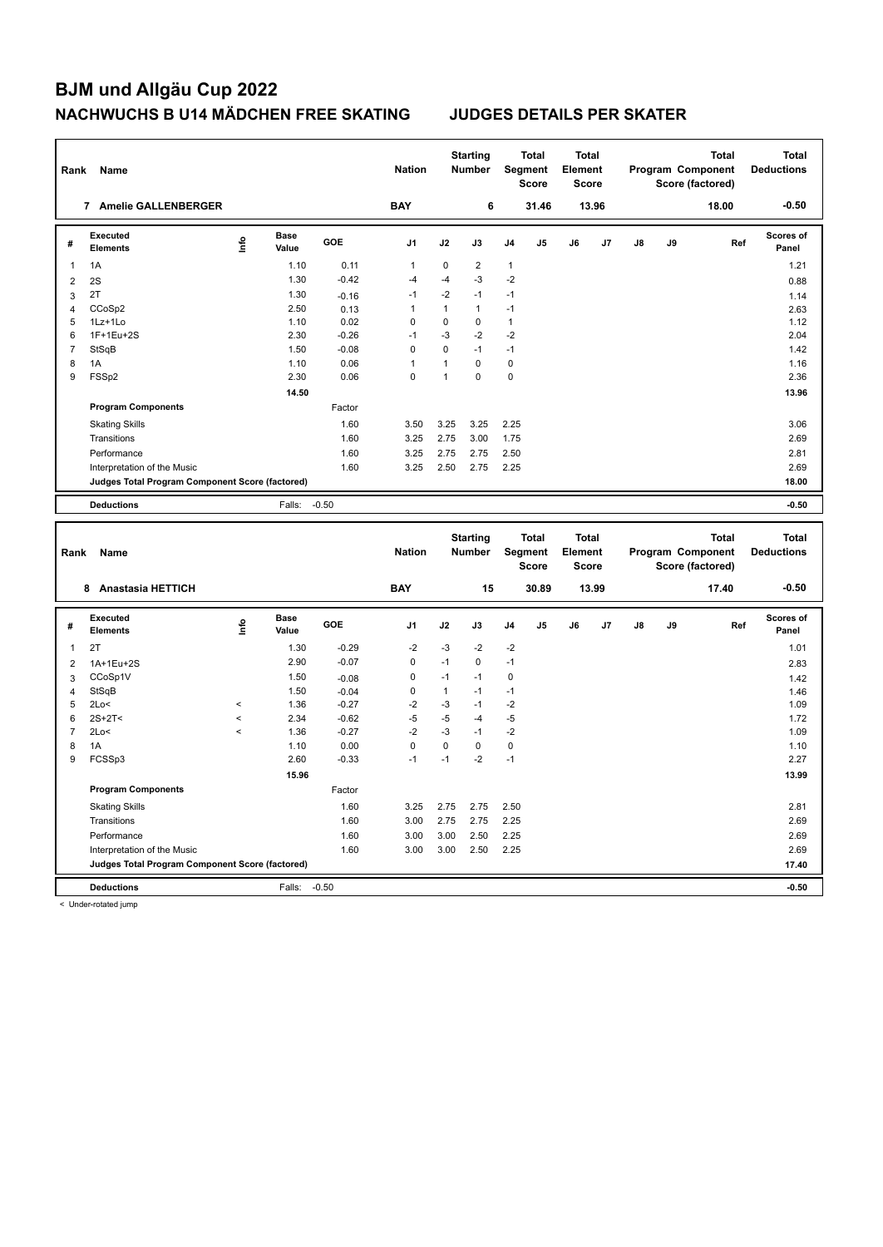| Rank           | Name                                            |                          |                      |         | <b>Nation</b>  |              | <b>Starting</b><br><b>Number</b> |              | <b>Total</b><br><b>Segment</b><br><b>Score</b> | <b>Total</b><br>Element<br><b>Score</b> |       |    |    | <b>Total</b><br>Program Component<br>Score (factored) |     | <b>Total</b><br><b>Deductions</b> |
|----------------|-------------------------------------------------|--------------------------|----------------------|---------|----------------|--------------|----------------------------------|--------------|------------------------------------------------|-----------------------------------------|-------|----|----|-------------------------------------------------------|-----|-----------------------------------|
|                | 7 Amelie GALLENBERGER                           |                          |                      |         | <b>BAY</b>     |              | 6                                |              | 31.46                                          |                                         | 13.96 |    |    | 18.00                                                 |     | $-0.50$                           |
| #              | <b>Executed</b><br><b>Elements</b>              | lnfo                     | <b>Base</b><br>Value | GOE     | J <sub>1</sub> | J2           | J3                               | J4           | J5                                             | J6                                      | J7    | J8 | J9 |                                                       | Ref | Scores of<br>Panel                |
| 1              | 1A                                              |                          | 1.10                 | 0.11    | $\mathbf{1}$   | $\pmb{0}$    | $\overline{2}$                   | 1            |                                                |                                         |       |    |    |                                                       |     | 1.21                              |
| $\sqrt{2}$     | 2S                                              |                          | 1.30                 | $-0.42$ | $-4$           | $-4$         | $-3$                             | $-2$         |                                                |                                         |       |    |    |                                                       |     | 0.88                              |
| 3              | 2T                                              |                          | 1.30                 | $-0.16$ | $-1$           | $-2$         | $-1$                             | $-1$         |                                                |                                         |       |    |    |                                                       |     | 1.14                              |
| $\overline{4}$ | CCoSp2                                          |                          | 2.50                 | 0.13    | $\mathbf{1}$   | $\mathbf{1}$ | $\mathbf{1}$                     | $-1$         |                                                |                                         |       |    |    |                                                       |     | 2.63                              |
| 5              | 1Lz+1Lo                                         |                          | 1.10                 | 0.02    | 0              | $\pmb{0}$    | 0                                | $\mathbf{1}$ |                                                |                                         |       |    |    |                                                       |     | 1.12                              |
| 6              | 1F+1Eu+2S                                       |                          | 2.30                 | $-0.26$ | $-1$           | $-3$         | $-2$                             | $-2$         |                                                |                                         |       |    |    |                                                       |     | 2.04                              |
| $\overline{7}$ | StSqB                                           |                          | 1.50                 | $-0.08$ | $\mathbf 0$    | $\pmb{0}$    | $-1$                             | $-1$         |                                                |                                         |       |    |    |                                                       |     | 1.42                              |
| 8              | 1A                                              |                          | 1.10                 | 0.06    | $\mathbf{1}$   | $\mathbf{1}$ | 0                                | 0            |                                                |                                         |       |    |    |                                                       |     | 1.16                              |
| 9              | FSSp2                                           |                          | 2.30                 | 0.06    | $\mathbf 0$    | $\mathbf{1}$ | $\mathbf 0$                      | $\mathbf 0$  |                                                |                                         |       |    |    |                                                       |     | 2.36                              |
|                |                                                 |                          | 14.50                |         |                |              |                                  |              |                                                |                                         |       |    |    |                                                       |     | 13.96                             |
|                | <b>Program Components</b>                       |                          |                      | Factor  |                |              |                                  |              |                                                |                                         |       |    |    |                                                       |     |                                   |
|                | <b>Skating Skills</b>                           |                          |                      | 1.60    | 3.50           | 3.25         | 3.25                             | 2.25         |                                                |                                         |       |    |    |                                                       |     | 3.06                              |
|                | Transitions                                     |                          |                      | 1.60    | 3.25           | 2.75         | 3.00                             | 1.75         |                                                |                                         |       |    |    |                                                       |     | 2.69                              |
|                | Performance                                     |                          |                      | 1.60    | 3.25           | 2.75         | 2.75                             | 2.50         |                                                |                                         |       |    |    |                                                       |     | 2.81                              |
|                | Interpretation of the Music                     |                          |                      | 1.60    | 3.25           | 2.50         | 2.75                             | 2.25         |                                                |                                         |       |    |    |                                                       |     | 2.69                              |
|                | Judges Total Program Component Score (factored) |                          |                      |         |                |              |                                  |              |                                                |                                         |       |    |    |                                                       |     | 18.00                             |
|                | <b>Deductions</b>                               |                          | Falls:               | $-0.50$ |                |              |                                  |              |                                                |                                         |       |    |    |                                                       |     | $-0.50$                           |
|                |                                                 |                          |                      |         |                |              |                                  |              |                                                |                                         |       |    |    |                                                       |     |                                   |
| Rank           | Name                                            |                          |                      |         | <b>Nation</b>  |              | <b>Starting</b><br><b>Number</b> |              | <b>Total</b><br>Segment<br><b>Score</b>        | <b>Total</b><br>Element<br><b>Score</b> |       |    |    | <b>Total</b><br>Program Component<br>Score (factored) |     | <b>Total</b><br><b>Deductions</b> |
|                | 8 Anastasia HETTICH                             |                          |                      |         | <b>BAY</b>     |              | 15                               |              | 30.89                                          |                                         | 13.99 |    |    | 17.40                                                 |     | $-0.50$                           |
| #              | <b>Executed</b><br><b>Elements</b>              | Life                     | <b>Base</b><br>Value | GOE     | J <sub>1</sub> | J2           | J3                               | J4           | J5                                             | J6                                      | J7    | J8 | J9 |                                                       | Ref | Scores of<br>Panel                |
| $\mathbf{1}$   | 2T                                              |                          | 1.30                 | $-0.29$ | $-2$           | $-3$         | $-2$                             | $-2$         |                                                |                                         |       |    |    |                                                       |     | 1.01                              |
| $\overline{2}$ | 1A+1Eu+2S                                       |                          | 2.90                 | $-0.07$ | $\mathbf 0$    | $-1$         | $\mathbf 0$                      | $-1$         |                                                |                                         |       |    |    |                                                       |     | 2.83                              |
| 3              | CCoSp1V                                         |                          | 1.50                 | $-0.08$ | 0              | $-1$         | $-1$                             | 0            |                                                |                                         |       |    |    |                                                       |     | 1.42                              |
| $\overline{4}$ | StSqB                                           |                          | 1.50                 | $-0.04$ | $\mathbf 0$    | $\mathbf{1}$ | $-1$                             | $-1$         |                                                |                                         |       |    |    |                                                       |     | 1.46                              |
| 5              | 2Lo<                                            | $\prec$                  | 1.36                 | $-0.27$ | $-2$           | $-3$         | $-1$                             | $-2$         |                                                |                                         |       |    |    |                                                       |     | 1.09                              |
| 6              | $2S+2T<$                                        | $\overline{\phantom{a}}$ | 2.34                 | $-0.62$ | $-5$           | $-5$         | $-4$                             | $-5$         |                                                |                                         |       |    |    |                                                       |     | 1.72                              |
| $\overline{7}$ | 2Lo<                                            | $\prec$                  | 1.36                 | $-0.27$ | $-2$           | $-3$         | $-1$                             | $-2$         |                                                |                                         |       |    |    |                                                       |     | 1.09                              |
| 8              | 1A                                              |                          | 1.10                 | 0.00    | $\mathbf 0$    | $\mathbf 0$  | $\mathbf 0$                      | $\mathbf 0$  |                                                |                                         |       |    |    |                                                       |     | 1.10                              |
| 9              | FCSSp3                                          |                          | 2.60                 | $-0.33$ | $-1$           | $-1$         | $-2$                             | $-1$         |                                                |                                         |       |    |    |                                                       |     | 2.27                              |
|                |                                                 |                          | 15.96                |         |                |              |                                  |              |                                                |                                         |       |    |    |                                                       |     | 13.99                             |
|                | <b>Program Components</b>                       |                          |                      | Factor  |                |              |                                  |              |                                                |                                         |       |    |    |                                                       |     |                                   |
|                | <b>Skating Skills</b>                           |                          |                      | 1.60    | 3.25           | 2.75         | 2.75                             | 2.50         |                                                |                                         |       |    |    |                                                       |     | 2.81                              |
|                | Transitions                                     |                          |                      | 1.60    | 3.00           | 2.75         | 2.75                             | 2.25         |                                                |                                         |       |    |    |                                                       |     | 2.69                              |
|                | Performance                                     |                          |                      | 1.60    | 3.00           | 3.00         | 2.50                             | 2.25         |                                                |                                         |       |    |    |                                                       |     | 2.69                              |
|                | Interpretation of the Music                     |                          |                      | 1.60    | 3.00           | 3.00         | 2.50                             | 2.25         |                                                |                                         |       |    |    |                                                       |     | 2.69                              |
|                | Judges Total Program Component Score (factored) |                          |                      |         |                |              |                                  |              |                                                |                                         |       |    |    |                                                       |     | 17.40                             |

< Under-rotated jump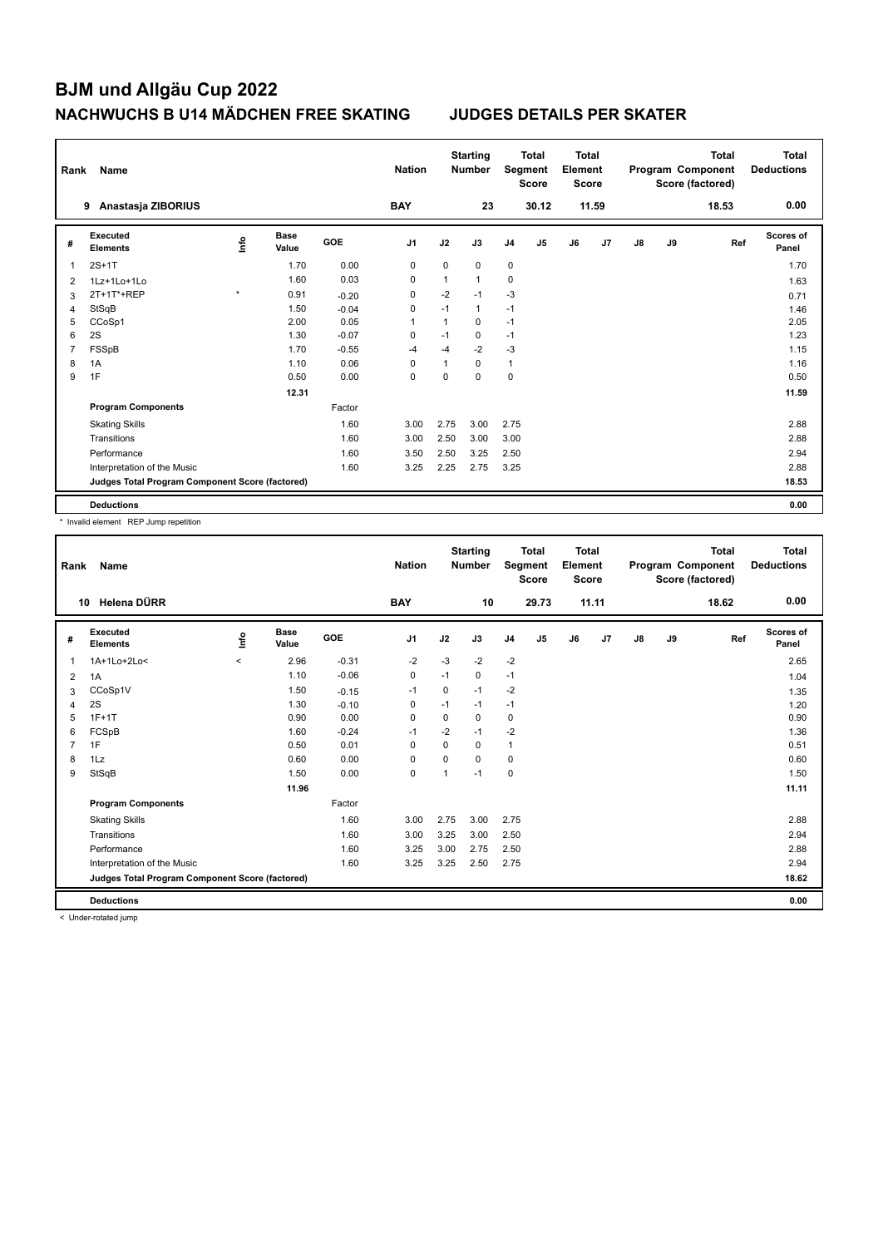| Rank | Name                                            |         |                      |            | <b>Nation</b>  |              | <b>Starting</b><br><b>Number</b> |                | <b>Total</b><br>Segment<br><b>Score</b> | Total<br>Element<br><b>Score</b> |       |    |    | <b>Total</b><br>Program Component<br>Score (factored) | Total<br><b>Deductions</b> |
|------|-------------------------------------------------|---------|----------------------|------------|----------------|--------------|----------------------------------|----------------|-----------------------------------------|----------------------------------|-------|----|----|-------------------------------------------------------|----------------------------|
|      | Anastasja ZIBORIUS<br>9                         |         |                      |            | <b>BAY</b>     |              | 23                               |                | 30.12                                   |                                  | 11.59 |    |    | 18.53                                                 | 0.00                       |
| #    | <b>Executed</b><br><b>Elements</b>              | ۴ů      | <b>Base</b><br>Value | <b>GOE</b> | J <sub>1</sub> | J2           | J3                               | J <sub>4</sub> | J <sub>5</sub>                          | J6                               | J7    | J8 | J9 | Ref                                                   | Scores of<br>Panel         |
| 1    | $2S+1T$                                         |         | 1.70                 | 0.00       | 0              | $\mathbf 0$  | 0                                | $\mathbf 0$    |                                         |                                  |       |    |    |                                                       | 1.70                       |
| 2    | 1Lz+1Lo+1Lo                                     |         | 1.60                 | 0.03       | $\mathbf 0$    | $\mathbf{1}$ | $\mathbf{1}$                     | 0              |                                         |                                  |       |    |    |                                                       | 1.63                       |
| 3    | 2T+1T*+REP                                      | $\star$ | 0.91                 | $-0.20$    | 0              | $-2$         | $-1$                             | $-3$           |                                         |                                  |       |    |    |                                                       | 0.71                       |
| 4    | StSqB                                           |         | 1.50                 | $-0.04$    | 0              | $-1$         | $\mathbf{1}$                     | $-1$           |                                         |                                  |       |    |    |                                                       | 1.46                       |
| 5    | CCoSp1                                          |         | 2.00                 | 0.05       | 1              | 1            | $\mathbf 0$                      | $-1$           |                                         |                                  |       |    |    |                                                       | 2.05                       |
| 6    | 2S                                              |         | 1.30                 | $-0.07$    | 0              | $-1$         | 0                                | $-1$           |                                         |                                  |       |    |    |                                                       | 1.23                       |
| 7    | FSSpB                                           |         | 1.70                 | $-0.55$    | $-4$           | $-4$         | $-2$                             | $-3$           |                                         |                                  |       |    |    |                                                       | 1.15                       |
| 8    | 1A                                              |         | 1.10                 | 0.06       | $\Omega$       | 1            | $\Omega$                         | $\mathbf{1}$   |                                         |                                  |       |    |    |                                                       | 1.16                       |
| 9    | 1F                                              |         | 0.50                 | 0.00       | 0              | 0            | 0                                | $\mathbf 0$    |                                         |                                  |       |    |    |                                                       | 0.50                       |
|      |                                                 |         | 12.31                |            |                |              |                                  |                |                                         |                                  |       |    |    |                                                       | 11.59                      |
|      | <b>Program Components</b>                       |         |                      | Factor     |                |              |                                  |                |                                         |                                  |       |    |    |                                                       |                            |
|      | <b>Skating Skills</b>                           |         |                      | 1.60       | 3.00           | 2.75         | 3.00                             | 2.75           |                                         |                                  |       |    |    |                                                       | 2.88                       |
|      | Transitions                                     |         |                      | 1.60       | 3.00           | 2.50         | 3.00                             | 3.00           |                                         |                                  |       |    |    |                                                       | 2.88                       |
|      | Performance                                     |         |                      | 1.60       | 3.50           | 2.50         | 3.25                             | 2.50           |                                         |                                  |       |    |    |                                                       | 2.94                       |
|      | Interpretation of the Music                     |         |                      | 1.60       | 3.25           | 2.25         | 2.75                             | 3.25           |                                         |                                  |       |    |    |                                                       | 2.88                       |
|      | Judges Total Program Component Score (factored) |         |                      |            |                |              |                                  |                |                                         |                                  |       |    |    |                                                       | 18.53                      |
|      | <b>Deductions</b>                               |         |                      |            |                |              |                                  |                |                                         |                                  |       |    |    |                                                       | 0.00                       |

\* Invalid element REP Jump repetition

| Rank           | Name                                            |         |                      |            | <b>Nation</b>  |             | <b>Starting</b><br><b>Number</b> |                | <b>Total</b><br>Segment<br><b>Score</b> | <b>Total</b><br>Element<br><b>Score</b> |                |               |    | Total<br>Program Component<br>Score (factored) | <b>Total</b><br><b>Deductions</b> |
|----------------|-------------------------------------------------|---------|----------------------|------------|----------------|-------------|----------------------------------|----------------|-----------------------------------------|-----------------------------------------|----------------|---------------|----|------------------------------------------------|-----------------------------------|
|                | Helena DÜRR<br>10                               |         |                      |            | <b>BAY</b>     |             | 10                               |                | 29.73                                   |                                         | 11.11          |               |    | 18.62                                          | 0.00                              |
| #              | Executed<br><b>Elements</b>                     | ١nto    | <b>Base</b><br>Value | <b>GOE</b> | J <sub>1</sub> | J2          | J3                               | J <sub>4</sub> | J <sub>5</sub>                          | J6                                      | J <sub>7</sub> | $\mathsf{J}8$ | J9 | Ref                                            | <b>Scores of</b><br>Panel         |
| $\overline{1}$ | 1A+1Lo+2Lo<                                     | $\prec$ | 2.96                 | $-0.31$    | $-2$           | $-3$        | $-2$                             | $-2$           |                                         |                                         |                |               |    |                                                | 2.65                              |
| 2              | 1A                                              |         | 1.10                 | $-0.06$    | $\pmb{0}$      | $-1$        | 0                                | $-1$           |                                         |                                         |                |               |    |                                                | 1.04                              |
| 3              | CCoSp1V                                         |         | 1.50                 | $-0.15$    | $-1$           | $\mathbf 0$ | $-1$                             | $-2$           |                                         |                                         |                |               |    |                                                | 1.35                              |
| 4              | 2S                                              |         | 1.30                 | $-0.10$    | 0              | $-1$        | $-1$                             | $-1$           |                                         |                                         |                |               |    |                                                | 1.20                              |
| 5              | $1F+1T$                                         |         | 0.90                 | 0.00       | $\mathbf 0$    | 0           | 0                                | $\mathbf 0$    |                                         |                                         |                |               |    |                                                | 0.90                              |
| 6              | FCSpB                                           |         | 1.60                 | $-0.24$    | $-1$           | $-2$        | $-1$                             | $-2$           |                                         |                                         |                |               |    |                                                | 1.36                              |
| $\overline{7}$ | 1F                                              |         | 0.50                 | 0.01       | $\Omega$       | $\Omega$    | 0                                | $\mathbf{1}$   |                                         |                                         |                |               |    |                                                | 0.51                              |
| 8              | 1Lz                                             |         | 0.60                 | 0.00       | 0              | $\Omega$    | 0                                | $\mathbf 0$    |                                         |                                         |                |               |    |                                                | 0.60                              |
| 9              | StSqB                                           |         | 1.50                 | 0.00       | $\mathbf 0$    | 1           | $-1$                             | $\mathbf 0$    |                                         |                                         |                |               |    |                                                | 1.50                              |
|                |                                                 |         | 11.96                |            |                |             |                                  |                |                                         |                                         |                |               |    |                                                | 11.11                             |
|                | <b>Program Components</b>                       |         |                      | Factor     |                |             |                                  |                |                                         |                                         |                |               |    |                                                |                                   |
|                | <b>Skating Skills</b>                           |         |                      | 1.60       | 3.00           | 2.75        | 3.00                             | 2.75           |                                         |                                         |                |               |    |                                                | 2.88                              |
|                | Transitions                                     |         |                      | 1.60       | 3.00           | 3.25        | 3.00                             | 2.50           |                                         |                                         |                |               |    |                                                | 2.94                              |
|                | Performance                                     |         |                      | 1.60       | 3.25           | 3.00        | 2.75                             | 2.50           |                                         |                                         |                |               |    |                                                | 2.88                              |
|                | Interpretation of the Music                     |         |                      | 1.60       | 3.25           | 3.25        | 2.50                             | 2.75           |                                         |                                         |                |               |    |                                                | 2.94                              |
|                | Judges Total Program Component Score (factored) |         |                      |            |                |             |                                  |                |                                         |                                         |                |               |    |                                                | 18.62                             |
|                | <b>Deductions</b>                               |         |                      |            |                |             |                                  |                |                                         |                                         |                |               |    |                                                | 0.00                              |

< Under-rotated jump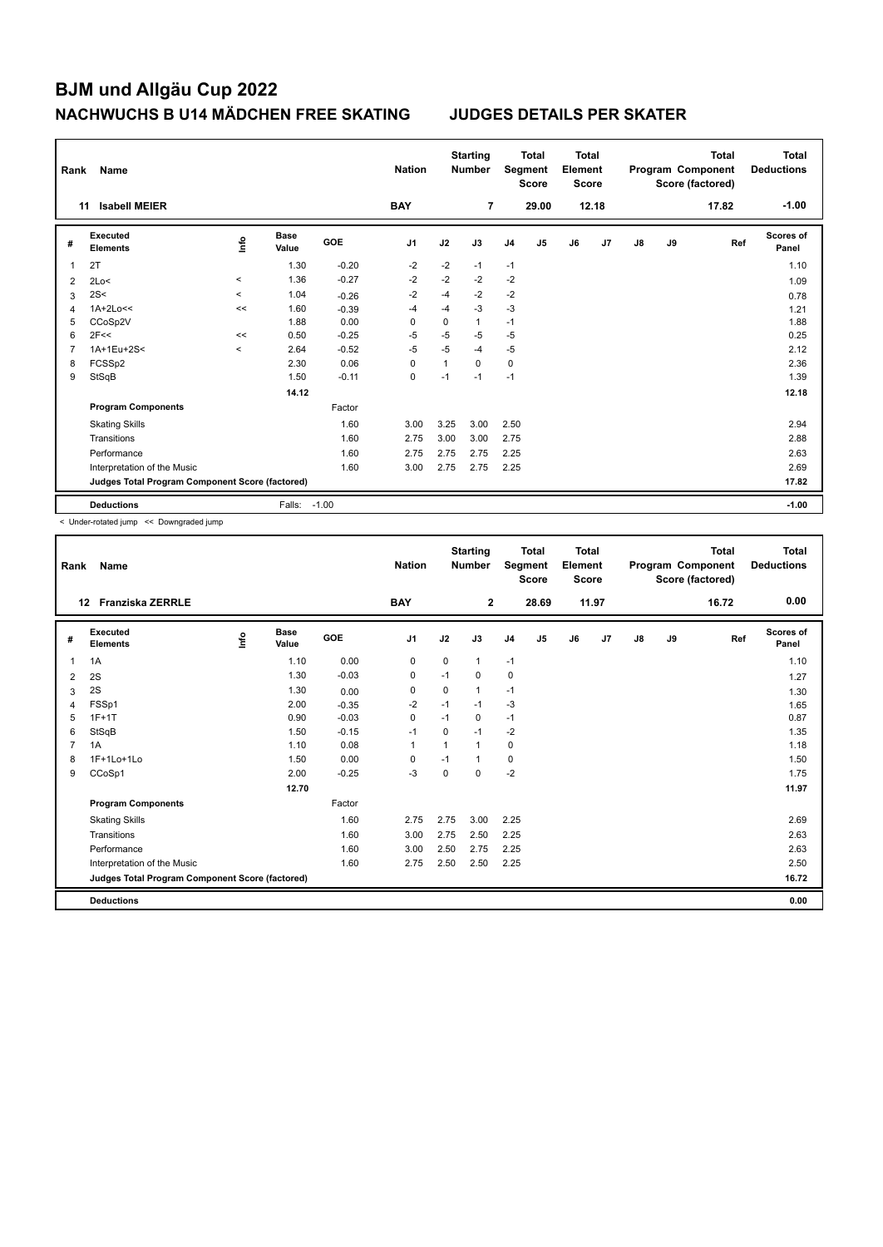| Rank | Name                                            |                          |                      |            | <b>Nation</b>  |                | <b>Starting</b><br><b>Number</b> |                | <b>Total</b><br>Segment<br><b>Score</b> | <b>Total</b><br>Element<br><b>Score</b> |       |    |    | <b>Total</b><br>Program Component<br>Score (factored) | Total<br><b>Deductions</b> |
|------|-------------------------------------------------|--------------------------|----------------------|------------|----------------|----------------|----------------------------------|----------------|-----------------------------------------|-----------------------------------------|-------|----|----|-------------------------------------------------------|----------------------------|
| 11   | <b>Isabell MEIER</b>                            |                          |                      |            | <b>BAY</b>     |                | 7                                |                | 29.00                                   |                                         | 12.18 |    |    | 17.82                                                 | $-1.00$                    |
| #    | <b>Executed</b><br><b>Elements</b>              | lnfo                     | <b>Base</b><br>Value | <b>GOE</b> | J <sub>1</sub> | J2             | J3                               | J <sub>4</sub> | J <sub>5</sub>                          | J6                                      | J7    | J8 | J9 | Ref                                                   | Scores of<br>Panel         |
| 1    | 2T                                              |                          | 1.30                 | $-0.20$    | $-2$           | $-2$           | $-1$                             | $-1$           |                                         |                                         |       |    |    |                                                       | 1.10                       |
| 2    | 2Lo<                                            | $\overline{\phantom{a}}$ | 1.36                 | $-0.27$    | $-2$           | $-2$           | $-2$                             | $-2$           |                                         |                                         |       |    |    |                                                       | 1.09                       |
| 3    | 2S<                                             | $\overline{\phantom{a}}$ | 1.04                 | $-0.26$    | $-2$           | -4             | $-2$                             | $-2$           |                                         |                                         |       |    |    |                                                       | 0.78                       |
| 4    | $1A+2Lo<<$                                      | <<                       | 1.60                 | $-0.39$    | $-4$           | -4             | $-3$                             | $-3$           |                                         |                                         |       |    |    |                                                       | 1.21                       |
| 5    | CCoSp2V                                         |                          | 1.88                 | 0.00       | $\mathbf 0$    | $\Omega$       | 1                                | $-1$           |                                         |                                         |       |    |    |                                                       | 1.88                       |
| 6    | 2F<<                                            | <<                       | 0.50                 | $-0.25$    | $-5$           | $-5$           | $-5$                             | $-5$           |                                         |                                         |       |    |    |                                                       | 0.25                       |
| 7    | 1A+1Eu+2S<                                      | $\prec$                  | 2.64                 | $-0.52$    | $-5$           | $-5$           | -4                               | $-5$           |                                         |                                         |       |    |    |                                                       | 2.12                       |
| 8    | FCSSp2                                          |                          | 2.30                 | 0.06       | $\Omega$       | $\overline{1}$ | $\Omega$                         | $\mathbf 0$    |                                         |                                         |       |    |    |                                                       | 2.36                       |
| 9    | StSqB                                           |                          | 1.50                 | $-0.11$    | 0              | $-1$           | $-1$                             | $-1$           |                                         |                                         |       |    |    |                                                       | 1.39                       |
|      |                                                 |                          | 14.12                |            |                |                |                                  |                |                                         |                                         |       |    |    |                                                       | 12.18                      |
|      | <b>Program Components</b>                       |                          |                      | Factor     |                |                |                                  |                |                                         |                                         |       |    |    |                                                       |                            |
|      | <b>Skating Skills</b>                           |                          |                      | 1.60       | 3.00           | 3.25           | 3.00                             | 2.50           |                                         |                                         |       |    |    |                                                       | 2.94                       |
|      | Transitions                                     |                          |                      | 1.60       | 2.75           | 3.00           | 3.00                             | 2.75           |                                         |                                         |       |    |    |                                                       | 2.88                       |
|      | Performance                                     |                          |                      | 1.60       | 2.75           | 2.75           | 2.75                             | 2.25           |                                         |                                         |       |    |    |                                                       | 2.63                       |
|      | Interpretation of the Music                     |                          |                      | 1.60       | 3.00           | 2.75           | 2.75                             | 2.25           |                                         |                                         |       |    |    |                                                       | 2.69                       |
|      | Judges Total Program Component Score (factored) |                          |                      |            |                |                |                                  |                |                                         |                                         |       |    |    |                                                       | 17.82                      |
|      | <b>Deductions</b>                               |                          | Falls:               | $-1.00$    |                |                |                                  |                |                                         |                                         |       |    |    |                                                       | $-1.00$                    |

< Under-rotated jump << Downgraded jump

| Rank           | <b>Name</b>                                     |       |                      |         | <b>Nation</b>  |             | <b>Starting</b><br><b>Number</b> | Segment        | <b>Total</b><br><b>Score</b> | <b>Total</b><br>Element<br><b>Score</b> |       |    |    | <b>Total</b><br>Program Component<br>Score (factored) | <b>Total</b><br><b>Deductions</b> |
|----------------|-------------------------------------------------|-------|----------------------|---------|----------------|-------------|----------------------------------|----------------|------------------------------|-----------------------------------------|-------|----|----|-------------------------------------------------------|-----------------------------------|
|                | <b>Franziska ZERRLE</b><br>12 <sup>12</sup>     |       |                      |         | <b>BAY</b>     |             | $\mathbf{2}$                     |                | 28.69                        |                                         | 11.97 |    |    | 16.72                                                 | 0.00                              |
| #              | Executed<br><b>Elements</b>                     | Linfo | <b>Base</b><br>Value | GOE     | J <sub>1</sub> | J2          | J3                               | J <sub>4</sub> | J <sub>5</sub>               | J6                                      | J7    | J8 | J9 | Ref                                                   | <b>Scores of</b><br>Panel         |
| 1              | 1A                                              |       | 1.10                 | 0.00    | 0              | 0           | $\mathbf{1}$                     | $-1$           |                              |                                         |       |    |    |                                                       | 1.10                              |
| 2              | 2S                                              |       | 1.30                 | $-0.03$ | 0              | $-1$        | 0                                | 0              |                              |                                         |       |    |    |                                                       | 1.27                              |
| 3              | 2S                                              |       | 1.30                 | 0.00    | $\mathbf 0$    | $\mathbf 0$ | 1                                | $-1$           |                              |                                         |       |    |    |                                                       | 1.30                              |
| 4              | FSSp1                                           |       | 2.00                 | $-0.35$ | -2             | $-1$        | $-1$                             | $-3$           |                              |                                         |       |    |    |                                                       | 1.65                              |
| 5              | $1F+1T$                                         |       | 0.90                 | $-0.03$ | 0              | $-1$        | 0                                | $-1$           |                              |                                         |       |    |    |                                                       | 0.87                              |
| 6              | StSqB                                           |       | 1.50                 | $-0.15$ | $-1$           | $\Omega$    | $-1$                             | $-2$           |                              |                                         |       |    |    |                                                       | 1.35                              |
| $\overline{7}$ | 1A                                              |       | 1.10                 | 0.08    | $\mathbf{1}$   |             | $\mathbf{1}$                     | 0              |                              |                                         |       |    |    |                                                       | 1.18                              |
| 8              | 1F+1Lo+1Lo                                      |       | 1.50                 | 0.00    | 0              | $-1$        | 1                                | $\mathbf 0$    |                              |                                         |       |    |    |                                                       | 1.50                              |
| 9              | CCoSp1                                          |       | 2.00                 | $-0.25$ | $-3$           | 0           | 0                                | $-2$           |                              |                                         |       |    |    |                                                       | 1.75                              |
|                |                                                 |       | 12.70                |         |                |             |                                  |                |                              |                                         |       |    |    |                                                       | 11.97                             |
|                | <b>Program Components</b>                       |       |                      | Factor  |                |             |                                  |                |                              |                                         |       |    |    |                                                       |                                   |
|                | <b>Skating Skills</b>                           |       |                      | 1.60    | 2.75           | 2.75        | 3.00                             | 2.25           |                              |                                         |       |    |    |                                                       | 2.69                              |
|                | Transitions                                     |       |                      | 1.60    | 3.00           | 2.75        | 2.50                             | 2.25           |                              |                                         |       |    |    |                                                       | 2.63                              |
|                | Performance                                     |       |                      | 1.60    | 3.00           | 2.50        | 2.75                             | 2.25           |                              |                                         |       |    |    |                                                       | 2.63                              |
|                | Interpretation of the Music                     |       |                      | 1.60    | 2.75           | 2.50        | 2.50                             | 2.25           |                              |                                         |       |    |    |                                                       | 2.50                              |
|                | Judges Total Program Component Score (factored) |       |                      |         |                |             |                                  |                |                              |                                         |       |    |    |                                                       | 16.72                             |
|                | <b>Deductions</b>                               |       |                      |         |                |             |                                  |                |                              |                                         |       |    |    |                                                       | 0.00                              |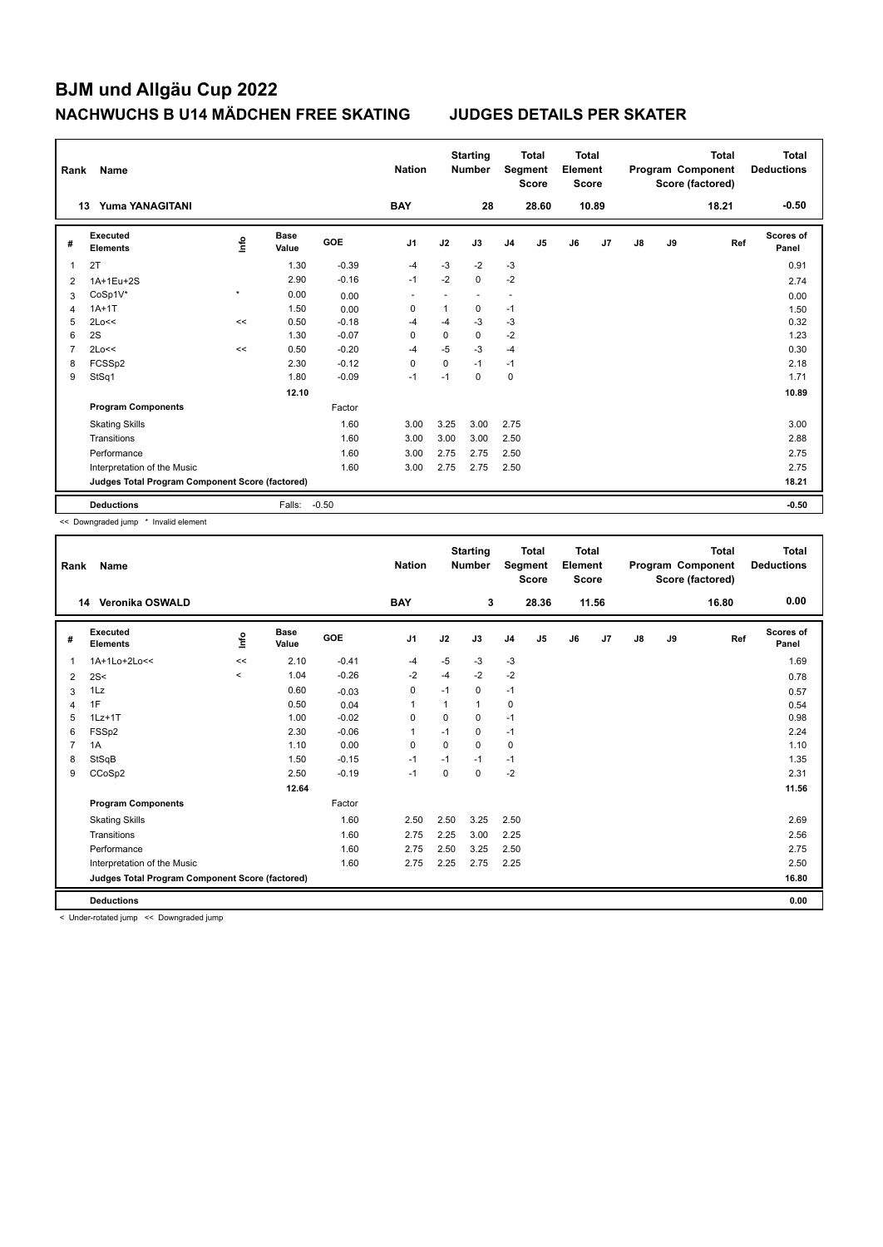| Rank | Name                                            |              |                      |            | <b>Nation</b>  |             | <b>Starting</b><br><b>Number</b> | Segment        | <b>Total</b><br><b>Score</b> | <b>Total</b><br>Element<br><b>Score</b> |       |    |    | <b>Total</b><br>Program Component<br>Score (factored) | Total<br><b>Deductions</b> |
|------|-------------------------------------------------|--------------|----------------------|------------|----------------|-------------|----------------------------------|----------------|------------------------------|-----------------------------------------|-------|----|----|-------------------------------------------------------|----------------------------|
|      | <b>Yuma YANAGITANI</b><br>13                    |              |                      |            | <b>BAY</b>     |             | 28                               |                | 28.60                        |                                         | 10.89 |    |    | 18.21                                                 | $-0.50$                    |
| #    | <b>Executed</b><br><b>Elements</b>              | ١nf٥         | <b>Base</b><br>Value | <b>GOE</b> | J <sub>1</sub> | J2          | J3                               | J <sub>4</sub> | J <sub>5</sub>               | J6                                      | J7    | J8 | J9 | Ref                                                   | Scores of<br>Panel         |
| 1    | 2T                                              |              | 1.30                 | $-0.39$    | $-4$           | $-3$        | $-2$                             | $-3$           |                              |                                         |       |    |    |                                                       | 0.91                       |
| 2    | 1A+1Eu+2S                                       |              | 2.90                 | $-0.16$    | $-1$           | $-2$        | $\mathbf 0$                      | $-2$           |                              |                                         |       |    |    |                                                       | 2.74                       |
| 3    | CoSp1V*                                         | $\pmb{\ast}$ | 0.00                 | 0.00       |                |             |                                  | ٠              |                              |                                         |       |    |    |                                                       | 0.00                       |
| 4    | $1A+1T$                                         |              | 1.50                 | 0.00       | 0              | 1           | 0                                | $-1$           |                              |                                         |       |    |    |                                                       | 1.50                       |
| 5    | 2Lo<<                                           | <<           | 0.50                 | $-0.18$    | $-4$           | $-4$        | $-3$                             | $-3$           |                              |                                         |       |    |    |                                                       | 0.32                       |
| 6    | 2S                                              |              | 1.30                 | $-0.07$    | 0              | 0           | 0                                | $-2$           |                              |                                         |       |    |    |                                                       | 1.23                       |
| 7    | 2Lo<<                                           | <<           | 0.50                 | $-0.20$    | $-4$           | $-5$        | $-3$                             | $-4$           |                              |                                         |       |    |    |                                                       | 0.30                       |
| 8    | FCSSp2                                          |              | 2.30                 | $-0.12$    | $\Omega$       | $\mathbf 0$ | $-1$                             | $-1$           |                              |                                         |       |    |    |                                                       | 2.18                       |
| 9    | StSq1                                           |              | 1.80                 | $-0.09$    | -1             | $-1$        | $\Omega$                         | $\mathbf 0$    |                              |                                         |       |    |    |                                                       | 1.71                       |
|      |                                                 |              | 12.10                |            |                |             |                                  |                |                              |                                         |       |    |    |                                                       | 10.89                      |
|      | <b>Program Components</b>                       |              |                      | Factor     |                |             |                                  |                |                              |                                         |       |    |    |                                                       |                            |
|      | <b>Skating Skills</b>                           |              |                      | 1.60       | 3.00           | 3.25        | 3.00                             | 2.75           |                              |                                         |       |    |    |                                                       | 3.00                       |
|      | Transitions                                     |              |                      | 1.60       | 3.00           | 3.00        | 3.00                             | 2.50           |                              |                                         |       |    |    |                                                       | 2.88                       |
|      | Performance                                     |              |                      | 1.60       | 3.00           | 2.75        | 2.75                             | 2.50           |                              |                                         |       |    |    |                                                       | 2.75                       |
|      | Interpretation of the Music                     |              |                      | 1.60       | 3.00           | 2.75        | 2.75                             | 2.50           |                              |                                         |       |    |    |                                                       | 2.75                       |
|      | Judges Total Program Component Score (factored) |              |                      |            |                |             |                                  |                |                              |                                         |       |    |    |                                                       | 18.21                      |
|      | <b>Deductions</b>                               |              | Falls:               | $-0.50$    |                |             |                                  |                |                              |                                         |       |    |    |                                                       | $-0.50$                    |

<< Downgraded jump \* Invalid element

| Rank | <b>Name</b>                                     |          |                      |         | <b>Nation</b>  |          | <b>Starting</b><br><b>Number</b> |                | <b>Total</b><br>Segment<br><b>Score</b> | <b>Total</b><br>Element<br><b>Score</b> |       |               |    | <b>Total</b><br>Program Component<br>Score (factored) | <b>Total</b><br><b>Deductions</b> |
|------|-------------------------------------------------|----------|----------------------|---------|----------------|----------|----------------------------------|----------------|-----------------------------------------|-----------------------------------------|-------|---------------|----|-------------------------------------------------------|-----------------------------------|
|      | Veronika OSWALD<br>14                           |          |                      |         | <b>BAY</b>     |          | 3                                |                | 28.36                                   |                                         | 11.56 |               |    | 16.80                                                 | 0.00                              |
| #    | Executed<br><b>Elements</b>                     | Info     | <b>Base</b><br>Value | GOE     | J <sub>1</sub> | J2       | J3                               | J <sub>4</sub> | J5                                      | J6                                      | J7    | $\mathsf{J}8$ | J9 | Ref                                                   | <b>Scores of</b><br>Panel         |
| 1    | 1A+1Lo+2Lo<<                                    | <<       | 2.10                 | $-0.41$ | $-4$           | $-5$     | $-3$                             | $-3$           |                                         |                                         |       |               |    |                                                       | 1.69                              |
| 2    | 2S<                                             | $\hat{}$ | 1.04                 | $-0.26$ | $-2$           | $-4$     | $-2$                             | $-2$           |                                         |                                         |       |               |    |                                                       | 0.78                              |
| 3    | 1Lz                                             |          | 0.60                 | $-0.03$ | $\mathbf 0$    | $-1$     | 0                                | $-1$           |                                         |                                         |       |               |    |                                                       | 0.57                              |
| 4    | 1F                                              |          | 0.50                 | 0.04    |                | 1        | 1                                | $\mathbf 0$    |                                         |                                         |       |               |    |                                                       | 0.54                              |
| 5    | $1Lz+1T$                                        |          | 1.00                 | $-0.02$ | 0              | 0        | 0                                | $-1$           |                                         |                                         |       |               |    |                                                       | 0.98                              |
| 6    | FSSp2                                           |          | 2.30                 | $-0.06$ | $\overline{1}$ | $-1$     | 0                                | $-1$           |                                         |                                         |       |               |    |                                                       | 2.24                              |
| 7    | 1A                                              |          | 1.10                 | 0.00    | $\Omega$       | $\Omega$ | $\Omega$                         | 0              |                                         |                                         |       |               |    |                                                       | 1.10                              |
| 8    | StSqB                                           |          | 1.50                 | $-0.15$ | $-1$           | $-1$     | $-1$                             | $-1$           |                                         |                                         |       |               |    |                                                       | 1.35                              |
| 9    | CCoSp2                                          |          | 2.50                 | $-0.19$ | $-1$           | $\Omega$ | $\Omega$                         | $-2$           |                                         |                                         |       |               |    |                                                       | 2.31                              |
|      |                                                 |          | 12.64                |         |                |          |                                  |                |                                         |                                         |       |               |    |                                                       | 11.56                             |
|      | <b>Program Components</b>                       |          |                      | Factor  |                |          |                                  |                |                                         |                                         |       |               |    |                                                       |                                   |
|      | <b>Skating Skills</b>                           |          |                      | 1.60    | 2.50           | 2.50     | 3.25                             | 2.50           |                                         |                                         |       |               |    |                                                       | 2.69                              |
|      | Transitions                                     |          |                      | 1.60    | 2.75           | 2.25     | 3.00                             | 2.25           |                                         |                                         |       |               |    |                                                       | 2.56                              |
|      | Performance                                     |          |                      | 1.60    | 2.75           | 2.50     | 3.25                             | 2.50           |                                         |                                         |       |               |    |                                                       | 2.75                              |
|      | Interpretation of the Music                     |          |                      | 1.60    | 2.75           | 2.25     | 2.75                             | 2.25           |                                         |                                         |       |               |    |                                                       | 2.50                              |
|      | Judges Total Program Component Score (factored) |          |                      |         |                |          |                                  |                |                                         |                                         |       |               |    |                                                       | 16.80                             |
|      | <b>Deductions</b>                               |          |                      |         |                |          |                                  |                |                                         |                                         |       |               |    |                                                       | 0.00                              |

< Under-rotated jump << Downgraded jump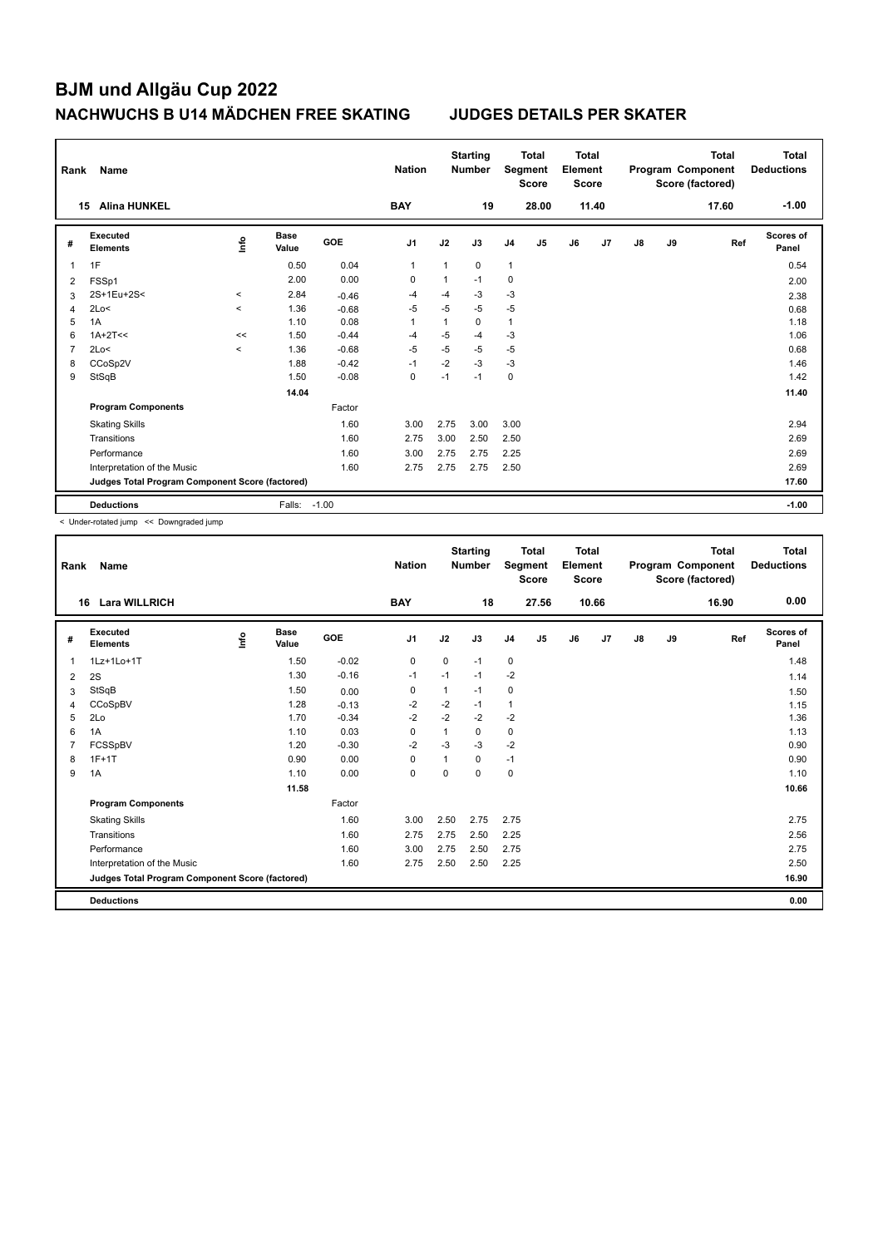| Rank | Name                                            |                          |                      |            | <b>Nation</b>  |      | <b>Starting</b><br><b>Number</b> | Segment        | <b>Total</b><br><b>Score</b> | <b>Total</b><br>Element<br><b>Score</b> |                |    |    | <b>Total</b><br>Program Component<br>Score (factored) | <b>Total</b><br><b>Deductions</b> |
|------|-------------------------------------------------|--------------------------|----------------------|------------|----------------|------|----------------------------------|----------------|------------------------------|-----------------------------------------|----------------|----|----|-------------------------------------------------------|-----------------------------------|
|      | <b>Alina HUNKEL</b><br>15                       |                          |                      |            | <b>BAY</b>     |      | 19                               |                | 28.00                        |                                         | 11.40          |    |    | 17.60                                                 | $-1.00$                           |
| #    | Executed<br><b>Elements</b>                     | ١nf٥                     | <b>Base</b><br>Value | <b>GOE</b> | J <sub>1</sub> | J2   | J3                               | J <sub>4</sub> | J <sub>5</sub>               | J6                                      | J <sub>7</sub> | J8 | J9 | Ref                                                   | Scores of<br>Panel                |
| 1    | 1F                                              |                          | 0.50                 | 0.04       | $\mathbf{1}$   | 1    | $\mathbf 0$                      | $\mathbf{1}$   |                              |                                         |                |    |    |                                                       | 0.54                              |
| 2    | FSSp1                                           |                          | 2.00                 | 0.00       | 0              |      | $-1$                             | 0              |                              |                                         |                |    |    |                                                       | 2.00                              |
| 3    | 2S+1Eu+2S<                                      | $\prec$                  | 2.84                 | $-0.46$    | $-4$           | $-4$ | $-3$                             | $-3$           |                              |                                         |                |    |    |                                                       | 2.38                              |
| 4    | 2Lo<                                            | $\prec$                  | 1.36                 | $-0.68$    | $-5$           | $-5$ | $-5$                             | $-5$           |                              |                                         |                |    |    |                                                       | 0.68                              |
| 5    | 1A                                              |                          | 1.10                 | 0.08       | 1              |      | $\Omega$                         | $\mathbf{1}$   |                              |                                         |                |    |    |                                                       | 1.18                              |
| 6    | $1A+2T<<$                                       | <<                       | 1.50                 | $-0.44$    | $-4$           | $-5$ | $-4$                             | $-3$           |                              |                                         |                |    |    |                                                       | 1.06                              |
| 7    | 2Lo<                                            | $\overline{\phantom{0}}$ | 1.36                 | $-0.68$    | $-5$           | $-5$ | $-5$                             | $-5$           |                              |                                         |                |    |    |                                                       | 0.68                              |
| 8    | CCoSp2V                                         |                          | 1.88                 | $-0.42$    | $-1$           | $-2$ | $-3$                             | $-3$           |                              |                                         |                |    |    |                                                       | 1.46                              |
| 9    | StSqB                                           |                          | 1.50                 | $-0.08$    | $\mathbf 0$    | $-1$ | $-1$                             | 0              |                              |                                         |                |    |    |                                                       | 1.42                              |
|      |                                                 |                          | 14.04                |            |                |      |                                  |                |                              |                                         |                |    |    |                                                       | 11.40                             |
|      | <b>Program Components</b>                       |                          |                      | Factor     |                |      |                                  |                |                              |                                         |                |    |    |                                                       |                                   |
|      | <b>Skating Skills</b>                           |                          |                      | 1.60       | 3.00           | 2.75 | 3.00                             | 3.00           |                              |                                         |                |    |    |                                                       | 2.94                              |
|      | Transitions                                     |                          |                      | 1.60       | 2.75           | 3.00 | 2.50                             | 2.50           |                              |                                         |                |    |    |                                                       | 2.69                              |
|      | Performance                                     |                          |                      | 1.60       | 3.00           | 2.75 | 2.75                             | 2.25           |                              |                                         |                |    |    |                                                       | 2.69                              |
|      | Interpretation of the Music                     |                          |                      | 1.60       | 2.75           | 2.75 | 2.75                             | 2.50           |                              |                                         |                |    |    |                                                       | 2.69                              |
|      | Judges Total Program Component Score (factored) |                          |                      |            |                |      |                                  |                |                              |                                         |                |    |    |                                                       | 17.60                             |
|      | <b>Deductions</b>                               |                          | Falls:               | $-1.00$    |                |      |                                  |                |                              |                                         |                |    |    |                                                       | $-1.00$                           |

< Under-rotated jump << Downgraded jump

| Rank | <b>Name</b>                                     |       |                      |         | <b>Nation</b>  |             | <b>Starting</b><br><b>Number</b> |                | <b>Total</b><br>Segment<br><b>Score</b> | <b>Total</b><br>Element<br><b>Score</b> |                |    |    | <b>Total</b><br>Program Component<br>Score (factored) | <b>Total</b><br><b>Deductions</b> |
|------|-------------------------------------------------|-------|----------------------|---------|----------------|-------------|----------------------------------|----------------|-----------------------------------------|-----------------------------------------|----------------|----|----|-------------------------------------------------------|-----------------------------------|
|      | <b>Lara WILLRICH</b><br>16                      |       |                      |         | <b>BAY</b>     |             | 18                               |                | 27.56                                   |                                         | 10.66          |    |    | 16.90                                                 | 0.00                              |
| #    | Executed<br><b>Elements</b>                     | Linfo | <b>Base</b><br>Value | GOE     | J <sub>1</sub> | J2          | J3                               | J <sub>4</sub> | J <sub>5</sub>                          | J6                                      | J <sub>7</sub> | J8 | J9 | Ref                                                   | <b>Scores of</b><br>Panel         |
| 1    | 1Lz+1Lo+1T                                      |       | 1.50                 | $-0.02$ | $\mathbf 0$    | $\mathbf 0$ | $-1$                             | $\mathbf 0$    |                                         |                                         |                |    |    |                                                       | 1.48                              |
| 2    | 2S                                              |       | 1.30                 | $-0.16$ | -1             | $-1$        | $-1$                             | $-2$           |                                         |                                         |                |    |    |                                                       | 1.14                              |
| 3    | StSqB                                           |       | 1.50                 | 0.00    | $\mathbf 0$    | 1           | $-1$                             | $\mathbf 0$    |                                         |                                         |                |    |    |                                                       | 1.50                              |
| 4    | <b>CCoSpBV</b>                                  |       | 1.28                 | $-0.13$ | -2             | $-2$        | $-1$                             | $\mathbf{1}$   |                                         |                                         |                |    |    |                                                       | 1.15                              |
| 5    | 2Lo                                             |       | 1.70                 | $-0.34$ | $-2$           | $-2$        | $-2$                             | $-2$           |                                         |                                         |                |    |    |                                                       | 1.36                              |
| 6    | 1A                                              |       | 1.10                 | 0.03    | $\Omega$       | 1           | 0                                | 0              |                                         |                                         |                |    |    |                                                       | 1.13                              |
| 7    | FCSSpBV                                         |       | 1.20                 | $-0.30$ | $-2$           | $-3$        | $-3$                             | $-2$           |                                         |                                         |                |    |    |                                                       | 0.90                              |
| 8    | $1F+1T$                                         |       | 0.90                 | 0.00    | $\mathbf 0$    |             | 0                                | $-1$           |                                         |                                         |                |    |    |                                                       | 0.90                              |
| 9    | 1A                                              |       | 1.10                 | 0.00    | $\mathbf 0$    | 0           | 0                                | $\mathbf 0$    |                                         |                                         |                |    |    |                                                       | 1.10                              |
|      |                                                 |       | 11.58                |         |                |             |                                  |                |                                         |                                         |                |    |    |                                                       | 10.66                             |
|      | <b>Program Components</b>                       |       |                      | Factor  |                |             |                                  |                |                                         |                                         |                |    |    |                                                       |                                   |
|      | <b>Skating Skills</b>                           |       |                      | 1.60    | 3.00           | 2.50        | 2.75                             | 2.75           |                                         |                                         |                |    |    |                                                       | 2.75                              |
|      | Transitions                                     |       |                      | 1.60    | 2.75           | 2.75        | 2.50                             | 2.25           |                                         |                                         |                |    |    |                                                       | 2.56                              |
|      | Performance                                     |       |                      | 1.60    | 3.00           | 2.75        | 2.50                             | 2.75           |                                         |                                         |                |    |    |                                                       | 2.75                              |
|      | Interpretation of the Music                     |       |                      | 1.60    | 2.75           | 2.50        | 2.50                             | 2.25           |                                         |                                         |                |    |    |                                                       | 2.50                              |
|      | Judges Total Program Component Score (factored) |       |                      |         |                |             |                                  |                |                                         |                                         |                |    |    |                                                       | 16.90                             |
|      | <b>Deductions</b>                               |       |                      |         |                |             |                                  |                |                                         |                                         |                |    |    |                                                       | 0.00                              |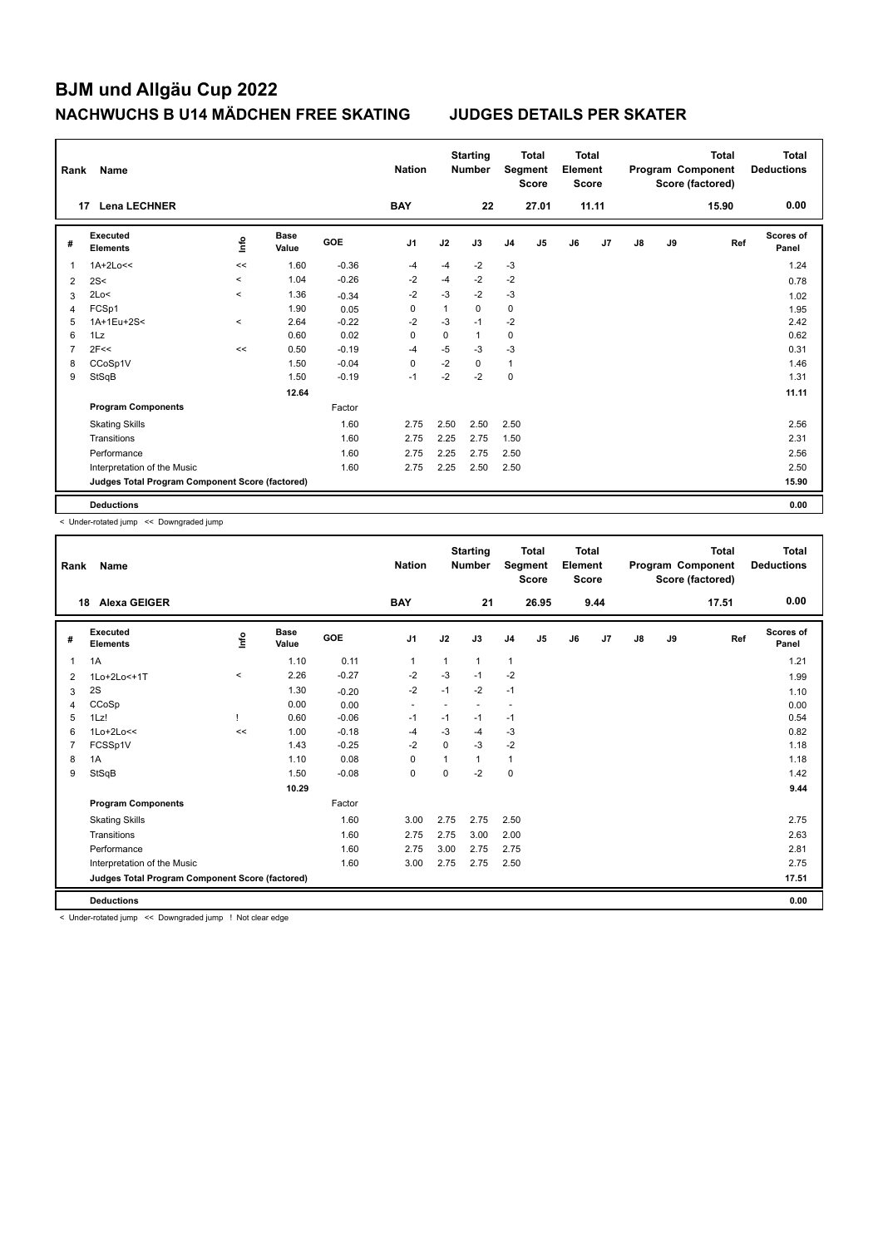| Rank           | Name                                            |          |                      |         | <b>Nation</b>  |              | <b>Starting</b><br><b>Number</b> |                | <b>Total</b><br>Segment<br><b>Score</b> | <b>Total</b><br>Element<br><b>Score</b> |       |    |    | <b>Total</b><br>Program Component<br>Score (factored) | Total<br><b>Deductions</b> |
|----------------|-------------------------------------------------|----------|----------------------|---------|----------------|--------------|----------------------------------|----------------|-----------------------------------------|-----------------------------------------|-------|----|----|-------------------------------------------------------|----------------------------|
| 17             | <b>Lena LECHNER</b>                             |          |                      |         | <b>BAY</b>     |              | 22                               |                | 27.01                                   |                                         | 11.11 |    |    | 15.90                                                 | 0.00                       |
| #              | <b>Executed</b><br><b>Elements</b>              | ۴ů       | <b>Base</b><br>Value | GOE     | J <sub>1</sub> | J2           | J3                               | J <sub>4</sub> | J5                                      | J6                                      | J7    | J8 | J9 | Ref                                                   | Scores of<br>Panel         |
| 1              | $1A+2Lo<<$                                      | <<       | 1.60                 | $-0.36$ | $-4$           | $-4$         | $-2$                             | $-3$           |                                         |                                         |       |    |    |                                                       | 1.24                       |
| $\overline{2}$ | 2S<                                             | $\hat{}$ | 1.04                 | $-0.26$ | $-2$           | $-4$         | $-2$                             | $-2$           |                                         |                                         |       |    |    |                                                       | 0.78                       |
| 3              | 2Lo<                                            | $\prec$  | 1.36                 | $-0.34$ | $-2$           | $-3$         | $-2$                             | $-3$           |                                         |                                         |       |    |    |                                                       | 1.02                       |
| $\overline{4}$ | FCSp1                                           |          | 1.90                 | 0.05    | 0              | $\mathbf{1}$ | $\mathbf 0$                      | 0              |                                         |                                         |       |    |    |                                                       | 1.95                       |
| 5              | 1A+1Eu+2S<                                      | $\prec$  | 2.64                 | $-0.22$ | $-2$           | $-3$         | $-1$                             | $-2$           |                                         |                                         |       |    |    |                                                       | 2.42                       |
| 6              | 1Lz                                             |          | 0.60                 | 0.02    | $\Omega$       | 0            | 1                                | 0              |                                         |                                         |       |    |    |                                                       | 0.62                       |
| 7              | 2F<<                                            | <<       | 0.50                 | $-0.19$ | $-4$           | $-5$         | $-3$                             | $-3$           |                                         |                                         |       |    |    |                                                       | 0.31                       |
| 8              | CCoSp1V                                         |          | 1.50                 | $-0.04$ | 0              | $-2$         | $\Omega$                         | $\mathbf{1}$   |                                         |                                         |       |    |    |                                                       | 1.46                       |
| 9              | StSqB                                           |          | 1.50                 | $-0.19$ | $-1$           | $-2$         | $-2$                             | 0              |                                         |                                         |       |    |    |                                                       | 1.31                       |
|                |                                                 |          | 12.64                |         |                |              |                                  |                |                                         |                                         |       |    |    |                                                       | 11.11                      |
|                | <b>Program Components</b>                       |          |                      | Factor  |                |              |                                  |                |                                         |                                         |       |    |    |                                                       |                            |
|                | <b>Skating Skills</b>                           |          |                      | 1.60    | 2.75           | 2.50         | 2.50                             | 2.50           |                                         |                                         |       |    |    |                                                       | 2.56                       |
|                | Transitions                                     |          |                      | 1.60    | 2.75           | 2.25         | 2.75                             | 1.50           |                                         |                                         |       |    |    |                                                       | 2.31                       |
|                | Performance                                     |          |                      | 1.60    | 2.75           | 2.25         | 2.75                             | 2.50           |                                         |                                         |       |    |    |                                                       | 2.56                       |
|                | Interpretation of the Music                     |          |                      | 1.60    | 2.75           | 2.25         | 2.50                             | 2.50           |                                         |                                         |       |    |    |                                                       | 2.50                       |
|                | Judges Total Program Component Score (factored) |          |                      |         |                |              |                                  |                |                                         |                                         |       |    |    |                                                       | 15.90                      |
|                | <b>Deductions</b>                               |          |                      |         |                |              |                                  |                |                                         |                                         |       |    |    |                                                       | 0.00                       |

< Under-rotated jump << Downgraded jump

| Rank | <b>Name</b>                                     |          |                      |         | <b>Nation</b>            |             | <b>Starting</b><br><b>Number</b> | Segment        | <b>Total</b><br><b>Score</b> | <b>Total</b><br>Element<br><b>Score</b> |                |               |    | <b>Total</b><br>Program Component<br>Score (factored) | <b>Total</b><br><b>Deductions</b> |
|------|-------------------------------------------------|----------|----------------------|---------|--------------------------|-------------|----------------------------------|----------------|------------------------------|-----------------------------------------|----------------|---------------|----|-------------------------------------------------------|-----------------------------------|
|      | <b>Alexa GEIGER</b><br>18                       |          |                      |         | <b>BAY</b>               |             | 21                               |                | 26.95                        |                                         | 9.44           |               |    | 17.51                                                 | 0.00                              |
| #    | Executed<br><b>Elements</b>                     | lnfo     | <b>Base</b><br>Value | GOE     | J <sub>1</sub>           | J2          | J3                               | J <sub>4</sub> | J5                           | J6                                      | J <sub>7</sub> | $\mathsf{J}8$ | J9 | Ref                                                   | Scores of<br>Panel                |
| 1    | 1A                                              |          | 1.10                 | 0.11    | 1                        | 1           | 1                                | $\mathbf{1}$   |                              |                                         |                |               |    |                                                       | 1.21                              |
| 2    | 1Lo+2Lo<+1T                                     | $\hat{}$ | 2.26                 | $-0.27$ | $-2$                     | $-3$        | $-1$                             | $-2$           |                              |                                         |                |               |    |                                                       | 1.99                              |
| 3    | 2S                                              |          | 1.30                 | $-0.20$ | $-2$                     | $-1$        | $-2$                             | $-1$           |                              |                                         |                |               |    |                                                       | 1.10                              |
| 4    | CCoSp                                           |          | 0.00                 | 0.00    | $\overline{\phantom{a}}$ |             |                                  |                |                              |                                         |                |               |    |                                                       | 0.00                              |
| 5    | 1Lz!                                            |          | 0.60                 | $-0.06$ | $-1$                     | $-1$        | $-1$                             | $-1$           |                              |                                         |                |               |    |                                                       | 0.54                              |
| 6    | $1$ Lo+ $2$ Lo<<                                | <<       | 1.00                 | $-0.18$ | $-4$                     | $-3$        | $-4$                             | $-3$           |                              |                                         |                |               |    |                                                       | 0.82                              |
|      | FCSSp1V                                         |          | 1.43                 | $-0.25$ | $-2$                     | 0           | $-3$                             | $-2$           |                              |                                         |                |               |    |                                                       | 1.18                              |
| 8    | 1A                                              |          | 1.10                 | 0.08    | $\mathbf 0$              |             | 1                                | $\mathbf{1}$   |                              |                                         |                |               |    |                                                       | 1.18                              |
| 9    | StSqB                                           |          | 1.50                 | $-0.08$ | $\mathbf 0$              | $\mathbf 0$ | $-2$                             | $\mathbf 0$    |                              |                                         |                |               |    |                                                       | 1.42                              |
|      |                                                 |          | 10.29                |         |                          |             |                                  |                |                              |                                         |                |               |    |                                                       | 9.44                              |
|      | <b>Program Components</b>                       |          |                      | Factor  |                          |             |                                  |                |                              |                                         |                |               |    |                                                       |                                   |
|      | <b>Skating Skills</b>                           |          |                      | 1.60    | 3.00                     | 2.75        | 2.75                             | 2.50           |                              |                                         |                |               |    |                                                       | 2.75                              |
|      | Transitions                                     |          |                      | 1.60    | 2.75                     | 2.75        | 3.00                             | 2.00           |                              |                                         |                |               |    |                                                       | 2.63                              |
|      | Performance                                     |          |                      | 1.60    | 2.75                     | 3.00        | 2.75                             | 2.75           |                              |                                         |                |               |    |                                                       | 2.81                              |
|      | Interpretation of the Music                     |          |                      | 1.60    | 3.00                     | 2.75        | 2.75                             | 2.50           |                              |                                         |                |               |    |                                                       | 2.75                              |
|      | Judges Total Program Component Score (factored) |          |                      |         |                          |             |                                  |                |                              |                                         |                |               |    |                                                       | 17.51                             |
|      | <b>Deductions</b>                               |          |                      |         |                          |             |                                  |                |                              |                                         |                |               |    |                                                       | 0.00                              |

< Under-rotated jump << Downgraded jump ! Not clear edge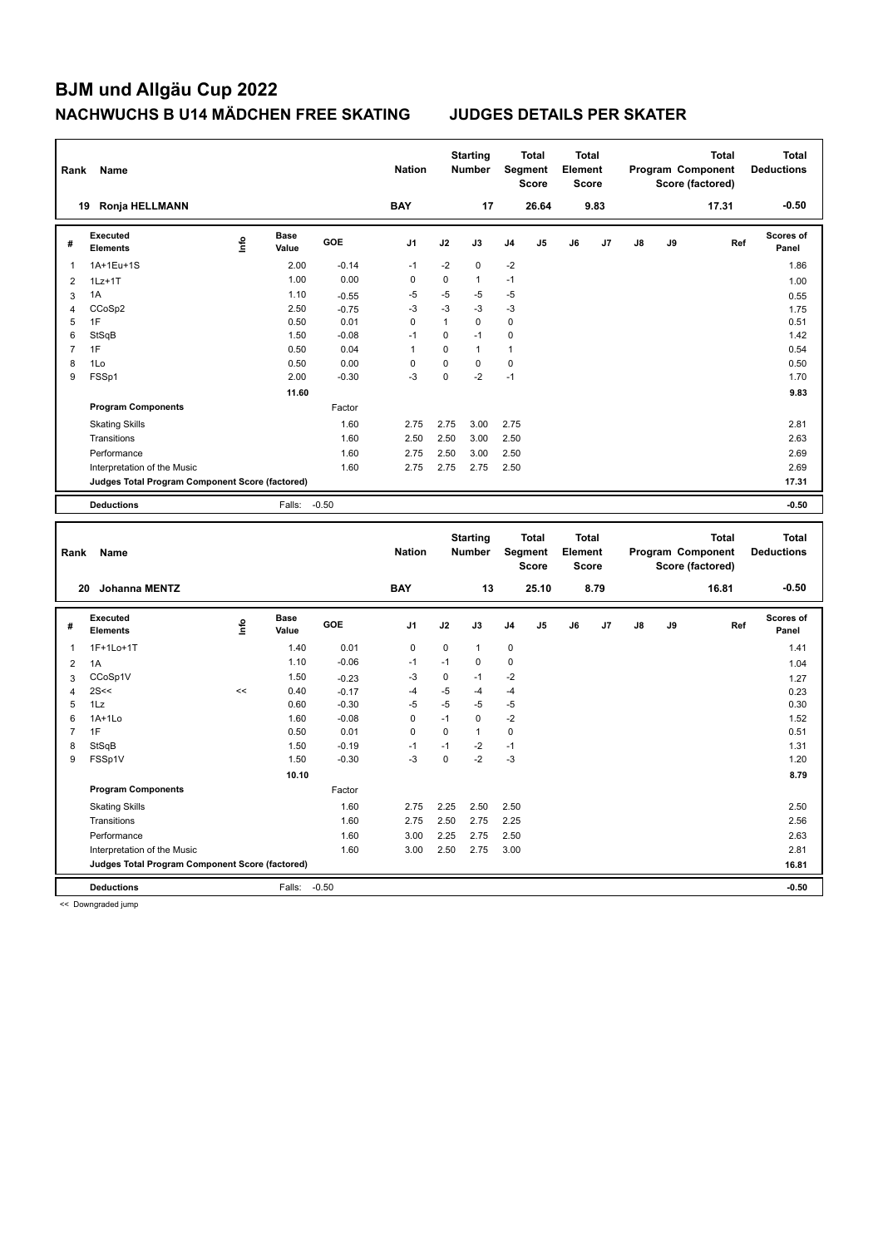| Rank                    | Name                                            |            |                      |         | <b>Nation</b>  |              | <b>Starting</b><br><b>Number</b> |              | <b>Total</b><br>Segment<br><b>Score</b> | <b>Total</b><br>Element<br><b>Score</b> |      |    |    | <b>Total</b><br>Program Component<br>Score (factored) | <b>Total</b><br><b>Deductions</b> |
|-------------------------|-------------------------------------------------|------------|----------------------|---------|----------------|--------------|----------------------------------|--------------|-----------------------------------------|-----------------------------------------|------|----|----|-------------------------------------------------------|-----------------------------------|
|                         | 19 Ronja HELLMANN                               |            |                      |         | <b>BAY</b>     |              | 17                               |              | 26.64                                   |                                         | 9.83 |    |    | 17.31                                                 | $-0.50$                           |
| #                       | <b>Executed</b><br><b>Elements</b>              | <u>nfo</u> | <b>Base</b><br>Value | GOE     | J <sub>1</sub> | J2           | J3                               | J4           | J5                                      | J6                                      | J7   | J8 | J9 | Ref                                                   | <b>Scores of</b><br>Panel         |
| $\mathbf{1}$            | 1A+1Eu+1S                                       |            | 2.00                 | $-0.14$ | $-1$           | $-2$         | $\pmb{0}$                        | $-2$         |                                         |                                         |      |    |    |                                                       | 1.86                              |
| $\overline{\mathbf{c}}$ | $1Lz+1T$                                        |            | 1.00                 | 0.00    | $\mathbf 0$    | 0            | $\mathbf{1}$                     | $-1$         |                                         |                                         |      |    |    |                                                       | 1.00                              |
| 3                       | 1A                                              |            | 1.10                 | $-0.55$ | $-5$           | $-5$         | -5                               | $-5$         |                                         |                                         |      |    |    |                                                       | 0.55                              |
| $\overline{4}$          | CCoSp2                                          |            | 2.50                 | $-0.75$ | $-3$           | $-3$         | $-3$                             | $-3$         |                                         |                                         |      |    |    |                                                       | 1.75                              |
| 5                       | 1F                                              |            | 0.50                 | 0.01    | $\mathbf 0$    | $\mathbf{1}$ | 0                                | 0            |                                         |                                         |      |    |    |                                                       | 0.51                              |
| 6                       | StSqB                                           |            | 1.50                 | $-0.08$ | $-1$           | $\mathbf 0$  | $-1$                             | $\mathbf 0$  |                                         |                                         |      |    |    |                                                       | 1.42                              |
| $\overline{7}$          | 1F                                              |            | 0.50                 | 0.04    | $\mathbf{1}$   | 0            | $\mathbf{1}$                     | $\mathbf{1}$ |                                         |                                         |      |    |    |                                                       | 0.54                              |
| 8                       | 1Lo                                             |            | 0.50                 | 0.00    | $\mathbf 0$    | 0            | 0                                | $\mathbf 0$  |                                         |                                         |      |    |    |                                                       | 0.50                              |
| $\boldsymbol{9}$        | FSSp1                                           |            | 2.00                 | $-0.30$ | -3             | 0            | $-2$                             | $-1$         |                                         |                                         |      |    |    |                                                       | 1.70                              |
|                         |                                                 |            | 11.60                |         |                |              |                                  |              |                                         |                                         |      |    |    |                                                       | 9.83                              |
|                         | <b>Program Components</b>                       |            |                      | Factor  |                |              |                                  |              |                                         |                                         |      |    |    |                                                       |                                   |
|                         | <b>Skating Skills</b>                           |            |                      | 1.60    | 2.75           | 2.75         | 3.00                             | 2.75         |                                         |                                         |      |    |    |                                                       | 2.81                              |
|                         | Transitions                                     |            |                      | 1.60    | 2.50           | 2.50         | 3.00                             | 2.50         |                                         |                                         |      |    |    |                                                       | 2.63                              |
|                         | Performance                                     |            |                      | 1.60    | 2.75           | 2.50         | 3.00                             | 2.50         |                                         |                                         |      |    |    |                                                       | 2.69                              |
|                         | Interpretation of the Music                     |            |                      | 1.60    | 2.75           | 2.75         | 2.75                             | 2.50         |                                         |                                         |      |    |    |                                                       | 2.69                              |
|                         | Judges Total Program Component Score (factored) |            |                      |         |                |              |                                  |              |                                         |                                         |      |    |    |                                                       | 17.31                             |
|                         | <b>Deductions</b>                               |            | Falls:               | $-0.50$ |                |              |                                  |              |                                         |                                         |      |    |    |                                                       | $-0.50$                           |
|                         |                                                 |            |                      |         |                |              |                                  |              |                                         |                                         |      |    |    |                                                       |                                   |
|                         |                                                 |            |                      |         |                |              |                                  |              |                                         |                                         |      |    |    |                                                       |                                   |
| Rank                    | Name                                            |            |                      |         | <b>Nation</b>  |              | <b>Starting</b><br><b>Number</b> |              | <b>Total</b><br>Segment<br><b>Score</b> | <b>Total</b><br>Element<br><b>Score</b> |      |    |    | <b>Total</b><br>Program Component<br>Score (factored) | <b>Total</b><br><b>Deductions</b> |
|                         | 20<br><b>Johanna MENTZ</b>                      |            |                      |         | <b>BAY</b>     |              | 13                               |              | 25.10                                   |                                         | 8.79 |    |    | 16.81                                                 | $-0.50$                           |
| #                       | <b>Executed</b><br><b>Elements</b>              | Life       | <b>Base</b><br>Value | GOE     | J1             | J2           | J3                               | J4           | J <sub>5</sub>                          | J6                                      | J7   | J8 | J9 | Ref                                                   | <b>Scores of</b><br>Panel         |
| $\mathbf{1}$            | 1F+1Lo+1T                                       |            | 1.40                 | 0.01    | $\mathbf 0$    | $\mathbf 0$  | $\mathbf{1}$                     | 0            |                                         |                                         |      |    |    |                                                       | 1.41                              |
| $\overline{2}$          | 1A                                              |            | 1.10                 | $-0.06$ | $-1$           | $-1$         | 0                                | $\mathbf 0$  |                                         |                                         |      |    |    |                                                       | 1.04                              |
| 3                       | CCoSp1V                                         |            | 1.50                 | $-0.23$ | $-3$           | $\pmb{0}$    | $-1$                             | $-2$         |                                         |                                         |      |    |    |                                                       | 1.27                              |
| $\overline{4}$          | 2S<<                                            | $\,<$      | 0.40                 | $-0.17$ | $-4$           | $-5$         | $-4$                             | $-4$         |                                         |                                         |      |    |    |                                                       | 0.23                              |
| 5                       | 1Lz                                             |            | 0.60                 | $-0.30$ | $-5$           | $-5$         | $-5$                             | $-5$         |                                         |                                         |      |    |    |                                                       | 0.30                              |
| 6                       | $1A+1Lo$                                        |            | 1.60                 | $-0.08$ | $\mathbf 0$    | $-1$         | $\mathbf 0$                      | $-2$         |                                         |                                         |      |    |    |                                                       | 1.52                              |
| $\overline{7}$          | 1F                                              |            | 0.50                 | 0.01    | $\mathbf 0$    | $\mathbf 0$  | $\mathbf{1}$                     | $\mathbf 0$  |                                         |                                         |      |    |    |                                                       | 0.51                              |
| 8                       | StSqB                                           |            | 1.50                 | $-0.19$ | $-1$           | $-1$         | $-2$                             | $-1$         |                                         |                                         |      |    |    |                                                       | 1.31                              |
| 9                       | FSSp1V                                          |            | 1.50                 | $-0.30$ | $-3$           | $\mathbf 0$  | $-2$                             | $-3$         |                                         |                                         |      |    |    |                                                       | 1.20                              |
|                         |                                                 |            | 10.10                |         |                |              |                                  |              |                                         |                                         |      |    |    |                                                       | 8.79                              |
|                         | <b>Program Components</b>                       |            |                      | Factor  |                |              |                                  |              |                                         |                                         |      |    |    |                                                       |                                   |
|                         | <b>Skating Skills</b>                           |            |                      | 1.60    | 2.75           | 2.25         | 2.50                             | 2.50         |                                         |                                         |      |    |    |                                                       | 2.50                              |
|                         | Transitions                                     |            |                      | 1.60    | 2.75           | 2.50         | 2.75                             | 2.25         |                                         |                                         |      |    |    |                                                       | 2.56                              |
|                         | Performance                                     |            |                      | 1.60    | 3.00           | 2.25         | 2.75                             | 2.50         |                                         |                                         |      |    |    |                                                       | 2.63                              |
|                         | Interpretation of the Music                     |            |                      | 1.60    | 3.00           | 2.50         | 2.75                             | 3.00         |                                         |                                         |      |    |    |                                                       | 2.81                              |
|                         | Judges Total Program Component Score (factored) |            |                      |         |                |              |                                  |              |                                         |                                         |      |    |    |                                                       | 16.81                             |

<< Downgraded jump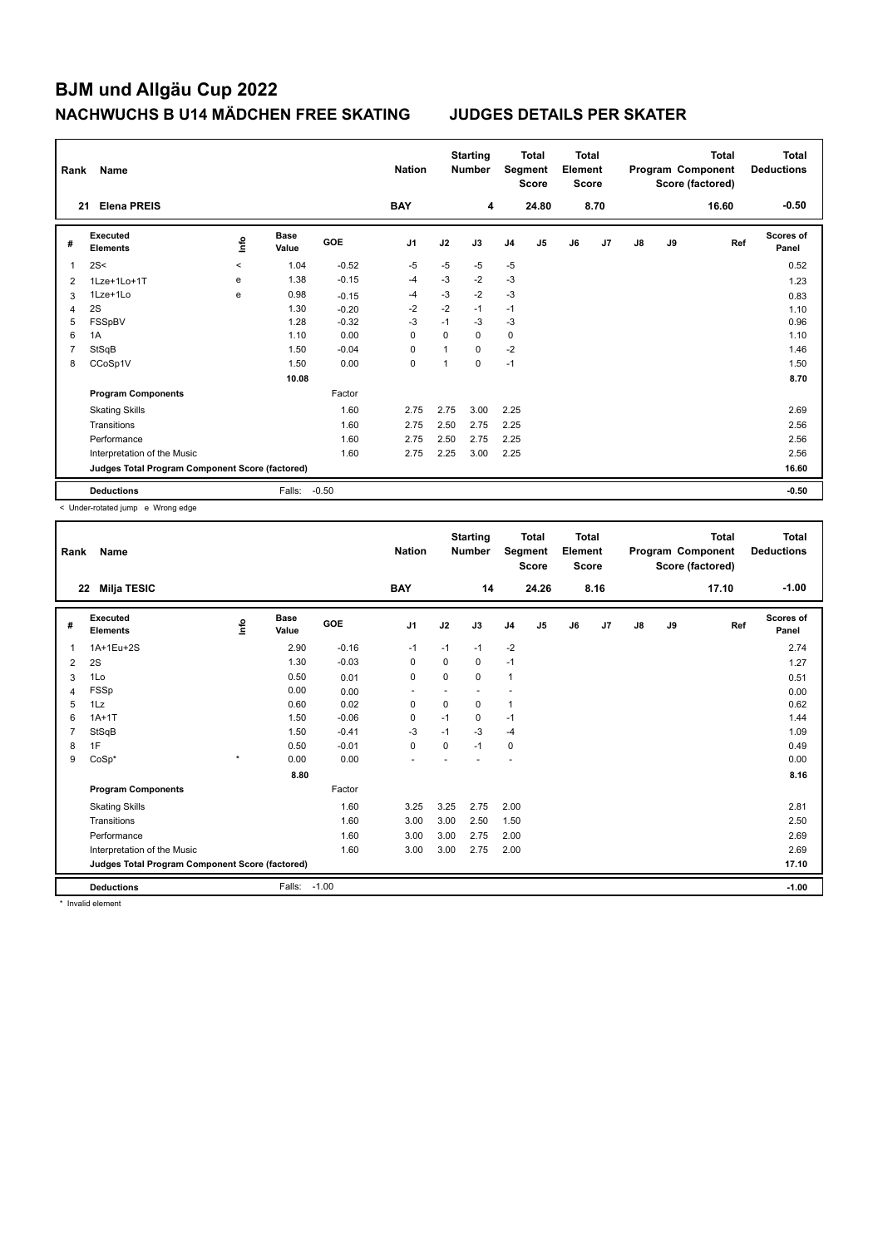| Rank           | Name                                            |         |                      |            | <b>Nation</b>  |                | <b>Starting</b><br><b>Number</b> |                | <b>Total</b><br>Segment<br><b>Score</b> | <b>Total</b><br>Element<br><b>Score</b> |      | <b>Total</b><br>Program Component<br>Score (factored) |    | Total<br><b>Deductions</b> |                           |
|----------------|-------------------------------------------------|---------|----------------------|------------|----------------|----------------|----------------------------------|----------------|-----------------------------------------|-----------------------------------------|------|-------------------------------------------------------|----|----------------------------|---------------------------|
| 21             | <b>Elena PREIS</b>                              |         |                      |            | <b>BAY</b>     |                | 4                                |                | 24.80                                   |                                         | 8.70 |                                                       |    | 16.60                      | $-0.50$                   |
| #              | Executed<br><b>Elements</b>                     | lnfo    | <b>Base</b><br>Value | <b>GOE</b> | J <sub>1</sub> | J2             | J3                               | J <sub>4</sub> | J5                                      | J6                                      | J7   | $\mathsf{J}8$                                         | J9 | Ref                        | <b>Scores of</b><br>Panel |
| 1              | 2S<                                             | $\prec$ | 1.04                 | $-0.52$    | $-5$           | $-5$           | $-5$                             | $-5$           |                                         |                                         |      |                                                       |    |                            | 0.52                      |
| 2              | 1Lze+1Lo+1T                                     | e       | 1.38                 | $-0.15$    | $-4$           | $-3$           | $-2$                             | $-3$           |                                         |                                         |      |                                                       |    |                            | 1.23                      |
| 3              | 1Lze+1Lo                                        | e       | 0.98                 | $-0.15$    | $-4$           | $-3$           | $-2$                             | $-3$           |                                         |                                         |      |                                                       |    |                            | 0.83                      |
| 4              | 2S                                              |         | 1.30                 | $-0.20$    | $-2$           | $-2$           | $-1$                             | $-1$           |                                         |                                         |      |                                                       |    |                            | 1.10                      |
| 5              | FSSpBV                                          |         | 1.28                 | $-0.32$    | $-3$           | $-1$           | $-3$                             | $-3$           |                                         |                                         |      |                                                       |    |                            | 0.96                      |
| 6              | 1A                                              |         | 1.10                 | 0.00       | 0              | $\Omega$       | 0                                | 0              |                                         |                                         |      |                                                       |    |                            | 1.10                      |
| $\overline{7}$ | StSqB                                           |         | 1.50                 | $-0.04$    | 0              | $\overline{1}$ | 0                                | $-2$           |                                         |                                         |      |                                                       |    |                            | 1.46                      |
| 8              | CCoSp1V                                         |         | 1.50                 | 0.00       | $\mathbf 0$    | 1              | $\Omega$                         | $-1$           |                                         |                                         |      |                                                       |    |                            | 1.50                      |
|                |                                                 |         | 10.08                |            |                |                |                                  |                |                                         |                                         |      |                                                       |    |                            | 8.70                      |
|                | <b>Program Components</b>                       |         |                      | Factor     |                |                |                                  |                |                                         |                                         |      |                                                       |    |                            |                           |
|                | <b>Skating Skills</b>                           |         |                      | 1.60       | 2.75           | 2.75           | 3.00                             | 2.25           |                                         |                                         |      |                                                       |    |                            | 2.69                      |
|                | Transitions                                     |         |                      | 1.60       | 2.75           | 2.50           | 2.75                             | 2.25           |                                         |                                         |      |                                                       |    |                            | 2.56                      |
|                | Performance                                     |         |                      | 1.60       | 2.75           | 2.50           | 2.75                             | 2.25           |                                         |                                         |      |                                                       |    |                            | 2.56                      |
|                | Interpretation of the Music                     |         |                      | 1.60       | 2.75           | 2.25           | 3.00                             | 2.25           |                                         |                                         |      |                                                       |    |                            | 2.56                      |
|                | Judges Total Program Component Score (factored) |         |                      |            |                |                |                                  |                |                                         |                                         |      |                                                       |    |                            | 16.60                     |
|                | <b>Deductions</b>                               |         | Falls:               | $-0.50$    |                |                |                                  |                |                                         |                                         |      |                                                       |    |                            | $-0.50$                   |

< Under-rotated jump e Wrong edge

| Rank | Name                                            |         |                      |            | <b>Nation</b>  |          | <b>Starting</b><br><b>Number</b> |                | <b>Total</b><br>Segment<br><b>Score</b> | Total<br>Element<br><b>Score</b> |      |               |    | <b>Total</b><br>Program Component<br>Score (factored) | <b>Total</b><br><b>Deductions</b> |
|------|-------------------------------------------------|---------|----------------------|------------|----------------|----------|----------------------------------|----------------|-----------------------------------------|----------------------------------|------|---------------|----|-------------------------------------------------------|-----------------------------------|
| 22   | <b>Milja TESIC</b>                              |         |                      |            | <b>BAY</b>     |          | 14                               |                | 24.26                                   |                                  | 8.16 |               |    | 17.10                                                 | $-1.00$                           |
| #    | Executed<br><b>Elements</b>                     | Linfo   | <b>Base</b><br>Value | <b>GOE</b> | J <sub>1</sub> | J2       | J3                               | J <sub>4</sub> | J5                                      | J6                               | J7   | $\mathsf{J}8$ | J9 | Ref                                                   | <b>Scores of</b><br>Panel         |
| 1    | 1A+1Eu+2S                                       |         | 2.90                 | $-0.16$    | $-1$           | $-1$     | $-1$                             | $-2$           |                                         |                                  |      |               |    |                                                       | 2.74                              |
| 2    | 2S                                              |         | 1.30                 | $-0.03$    | 0              | 0        | 0                                | $-1$           |                                         |                                  |      |               |    |                                                       | 1.27                              |
| 3    | 1Lo                                             |         | 0.50                 | 0.01       | 0              | 0        | 0                                | 1              |                                         |                                  |      |               |    |                                                       | 0.51                              |
| 4    | FSSp                                            |         | 0.00                 | 0.00       |                |          |                                  |                |                                         |                                  |      |               |    |                                                       | 0.00                              |
| 5    | 1Lz                                             |         | 0.60                 | 0.02       | 0              | 0        | 0                                | 1              |                                         |                                  |      |               |    |                                                       | 0.62                              |
| 6    | $1A+1T$                                         |         | 1.50                 | $-0.06$    | 0              | $-1$     | 0                                | $-1$           |                                         |                                  |      |               |    |                                                       | 1.44                              |
|      | StSqB                                           |         | 1.50                 | $-0.41$    | $-3$           | $-1$     | $-3$                             | $-4$           |                                         |                                  |      |               |    |                                                       | 1.09                              |
| 8    | 1F                                              |         | 0.50                 | $-0.01$    | $\mathbf 0$    | $\Omega$ | $-1$                             | 0              |                                         |                                  |      |               |    |                                                       | 0.49                              |
| 9    | $CoSp*$                                         | $\star$ | 0.00                 | 0.00       |                |          |                                  | ۰              |                                         |                                  |      |               |    |                                                       | 0.00                              |
|      |                                                 |         | 8.80                 |            |                |          |                                  |                |                                         |                                  |      |               |    |                                                       | 8.16                              |
|      | <b>Program Components</b>                       |         |                      | Factor     |                |          |                                  |                |                                         |                                  |      |               |    |                                                       |                                   |
|      | <b>Skating Skills</b>                           |         |                      | 1.60       | 3.25           | 3.25     | 2.75                             | 2.00           |                                         |                                  |      |               |    |                                                       | 2.81                              |
|      | Transitions                                     |         |                      | 1.60       | 3.00           | 3.00     | 2.50                             | 1.50           |                                         |                                  |      |               |    |                                                       | 2.50                              |
|      | Performance                                     |         |                      | 1.60       | 3.00           | 3.00     | 2.75                             | 2.00           |                                         |                                  |      |               |    |                                                       | 2.69                              |
|      | Interpretation of the Music                     |         |                      | 1.60       | 3.00           | 3.00     | 2.75                             | 2.00           |                                         |                                  |      |               |    |                                                       | 2.69                              |
|      | Judges Total Program Component Score (factored) |         |                      |            |                |          |                                  |                |                                         |                                  |      |               |    |                                                       | 17.10                             |
|      | <b>Deductions</b>                               |         | Falls:               | $-1.00$    |                |          |                                  |                |                                         |                                  |      |               |    |                                                       | $-1.00$                           |

\* Invalid element